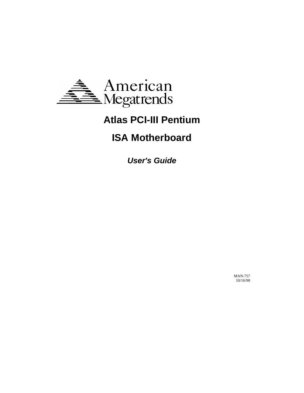

# **Atlas PCI-III Pentium**

## **ISA Motherboard**

**User's Guide**

MAN-757 10/16/98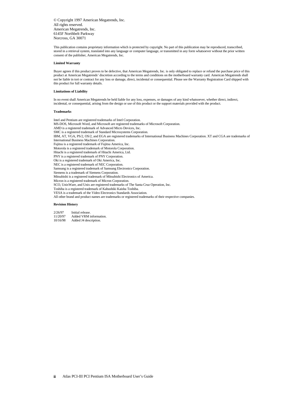© Copyright 1997 American Megatrends, Inc. All rights reserved. American Megatrends, Inc. 6145F Northbelt Parkway Norcross, GA 30071

This publication contains proprietary information which is protected by copyright. No part of this publication may be reproduced, transcribed, stored in a retrieval system, translated into any language or computer language, or transmitted in any form whatsoever without the prior written consent of the publisher, American Megatrends, Inc.

#### **Limited Warranty**

Buyer agrees if this product proves to be defective, that American Megatrends, Inc. is only obligated to replace or refund the purchase price of this product at American Megatrends' discretion according to the terms and conditions on the motherboard warranty card. American Megatrends shall not be liable in tort or contract for any loss or damage, direct, incidental or consequential. Please see the Warranty Registration Card shipped with this product for full warranty details.

#### **Limitations of Liability**

In no event shall American Megatrends be held liable for any loss, expenses, or damages of any kind whatsoever, whether direct, indirect, incidental, or consequential, arising from the design or use of this product or the support materials provided with the product.

#### **Trademarks**

Intel and Pentium are registered trademarks of Intel Corporation. MS-DOS, Microsoft Word, and Microsoft are registered trademarks of Microsoft Corporation. AMD is a registered trademark of Advanced Micro Devices, Inc. SMC is a registered trademark of Standard Microsystems Corporation. IBM, AT, VGA, PS/2, OS/2, and EGA are registered trademarks of International Business Machines Corporation. XT and CGA are trademarks of International Business Machines Corporation. Fujitsu is a registered trademark of Fujitsu America, Inc. Motorola is a registered trademark of Motorola Corporation. Hitachi is a registered trademark of Hitachi America, Ltd. PNY is a registered trademark of PNY Corporation. Oki is a registered trademark of Oki America, Inc. NEC is a registered trademark of NEC Corporation. Samsung is a registered trademark of Samsung Electronics Corporation. Siemens is a trademark of Siemens Corporation. Mitsubishi is a registered trademark of Mitsubishi Electronics of America. Micron is a registered trademark of Micron Corporation. SCO, UnixWare, and Unix are registered trademarks of The Santa Cruz Operation, Inc. Toshiba is a registered trademark of Kabushiki Kaisha Toshiba. VESA is a trademark of the Video Electronics Standards Association. All other brand and product names are trademarks or registered trademarks of their respective companies.

#### **Revision History**

2/26/97 Initial release.<br>11/20/97 Added VRM i Added VRM information. 10/16/98 Added J4 description.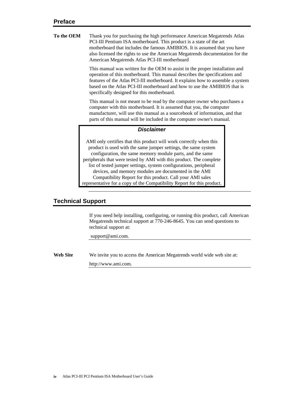| Thank you for purchasing the high performance American Megatrends Atlas       |
|-------------------------------------------------------------------------------|
| PCI-III Pentium ISA motherboard. This product is a state of the art           |
| motherboard that includes the famous AMIBIOS. It is assumed that you have     |
| also licensed the rights to use the American Megatrends documentation for the |
| American Megatrends Atlas PCI-III motherboard                                 |
|                                                                               |

This manual was written for the OEM to assist in the proper installation and operation of this motherboard. This manual describes the specifications and features of the Atlas PCI-III motherboard. It explains how to assemble a system based on the Atlas PCI-III motherboard and how to use the AMIBIOS that is specifically designed for this motherboard.

This manual is not meant to be read by the computer owner who purchases a computer with this motherboard. It is assumed that you, the computer manufacturer, will use this manual as a sourcebook of information, and that parts of this manual will be included in the computer owner's manual.

## *Disclaimer*

AMI only certifies that this product will work correctly when this product is used with the same jumper settings, the same system configuration, the same memory module parts, and the same peripherals that were tested by AMI with this product. The complete list of tested jumper settings, system configurations, peripheral devices, and memory modules are documented in the AMI Compatibility Report for this product. Call your AMI sales representative for a copy of the Compatibility Report for this product.

## **Technical Support**

If you need help installing, configuring, or running this product, call American Megatrends technical support at 770-246-8645. You can send questions to technical support at:

support@ami.com.

**Web Site** We invite you to access the American Megatrends world wide web site at: http://www.ami.com*.*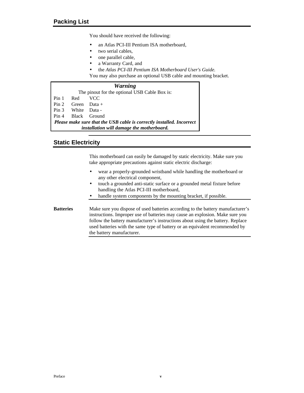You should have received the following:

- an Atlas PCI-III Pentium ISA motherboard,
- two serial cables,
- one parallel cable,
- a Warranty Card, and
- *·* the *Atlas PCI-III Pentium ISA Motherboard User's Guide.*

You may also purchase an optional USB cable and mounting bracket.

## *Warning*

|                                                                              |                                           | The pinout for the optional USB Cable Box is: |  |  |  |  |
|------------------------------------------------------------------------------|-------------------------------------------|-----------------------------------------------|--|--|--|--|
| Pin 1 Red                                                                    |                                           | – VCC                                         |  |  |  |  |
|                                                                              | $Pin 2$ Green Data +                      |                                               |  |  |  |  |
|                                                                              | Pin 3 White Data -                        |                                               |  |  |  |  |
|                                                                              |                                           | Pin 4 Black Ground                            |  |  |  |  |
| <b>Please make sure that the USB cable is correctly installed. Incorrect</b> |                                           |                                               |  |  |  |  |
|                                                                              | installation will damage the motherboard. |                                               |  |  |  |  |

## **Static Electricity**

This motherboard can easily be damaged by static electricity. Make sure you take appropriate precautions against static electric discharge:

- wear a properly-grounded wristband while handling the motherboard or any other electrical component,
- touch a grounded anti-static surface or a grounded metal fixture before handling the Atlas PCI-III motherboard,
- handle system components by the mounting bracket, if possible.
- **Batteries** Make sure you dispose of used batteries according to the battery manufacturer's instructions. Improper use of batteries may cause an explosion. Make sure you follow the battery manufacturer's instructions about using the battery. Replace used batteries with the same type of battery or an equivalent recommended by the battery manufacturer.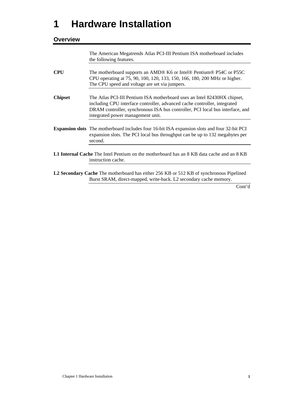# **1 Hardware Installation**

## **Overview**

The American Megatrends Atlas PCI-III Pentium ISA motherboard includes the following features.

- **CPU** The motherboard supports an AMD® K6 or Intel® Pentium® P54C or P55C CPU operating at 75, 90, 100, 120, 133, 150, 166, 180, 200 MHz or higher. The CPU speed and voltage are set via jumpers. **Chipset** The Atlas PCI-III Pentium ISA motherboard uses an Intel 82430HX chipset,
- including CPU interface controller, advanced cache controller, integrated DRAM controller, synchronous ISA bus controller, PCI local bus interface, and integrated power management unit.
- **Expansion slots** The motherboard includes four 16-bit ISA expansion slots and four 32-bit PCI expansion slots. The PCI local bus throughput can be up to 132 megabytes per second.
- **L1 Internal Cache** The Intel Pentium on the motherboard has an 8 KB data cache and an 8 KB instruction cache.
- **L2 Secondary Cache** The motherboard has either 256 KB or 512 KB of synchronous Pipelined Burst SRAM, direct-mapped, write-back. L2 secondary cache memory.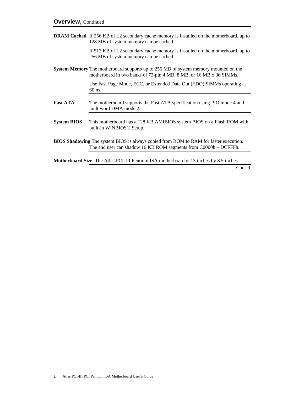**DRAM Cached** If 256 KB of L2 secondary cache memory is installed on the motherboard, up to 128 MB of system memory can be cached.

> If 512 KB of L2 secondary cache memory is installed on the motherboard, up to 256 MB of system memory can be cached.

**System Memory** The motherboard supports up to 256 MB of system memory mounted on the motherboard in two banks of 72-pin 4 MB, 8 MB, or 16 MB x 36 SIMMs.

> Use Fast Page Mode, ECC, or Extended Data Out (EDO) SIMMs operating at 60 ns.

- Fast ATA The motherboard supports the Fast ATA specification using PIO mode 4 and multiword DMA mode 2.
- **System BIOS** This motherboard has a 128 KB AMIBIOS system BIOS on a Flash ROM with built-in WINBIOS® Setup.
- **BIOS Shadowing** The system BIOS is always copied from ROM to RAM for faster execution. The end user can shadow 16 KB ROM segments from C0000h – DCFFFh.

**Motherboard Size** The Atlas PCI-III Pentium ISA motherboard is 13 inches by 8.5 inches.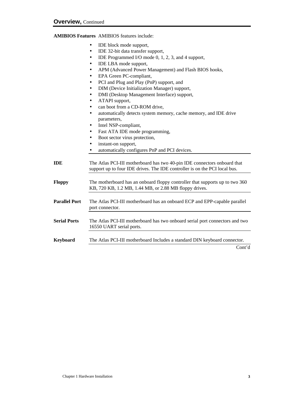## **AMIBIOS Features** AMIBIOS features include:

- IDE block mode support,
- IDE 32-bit data transfer support,
- IDE Programmed I/O mode 0, 1, 2, 3, and 4 support,
- IDE LBA mode support,
- APM (Advanced Power Management) and Flash BIOS hooks,
- EPA Green PC-compliant,
- PCI and Plug and Play (PnP) support, and
- DIM (Device Initialization Manager) support,
- DMI (Desktop Management Interface) support,
- ATAPI support,
- can boot from a CD-ROM drive,
- automatically detects system memory, cache memory, and IDE drive parameters,
- Intel NSP-compliant,
- Fast ATA IDE mode programming,
- Boot sector virus protection,
- instant-on support,
- automatically configures PnP and PCI devices.
- **IDE** The Atlas PCI-III motherboard has two 40-pin IDE connectors onboard that support up to four IDE drives. The IDE controller is on the PCI local bus.
- **Floppy** The motherboard has an onboard floppy controller that supports up to two 360 KB, 720 KB, 1.2 MB, 1.44 MB, or 2.88 MB floppy drives.
- **Parallel Port** The Atlas PCI-III motherboard has an onboard ECP and EPP-capable parallel port connector.
- **Serial Ports** The Atlas PCI-III motherboard has two onboard serial port connectors and two 16550 UART serial ports.
- **Keyboard** The Atlas PCI-III motherboard Includes a standard DIN keyboard connector.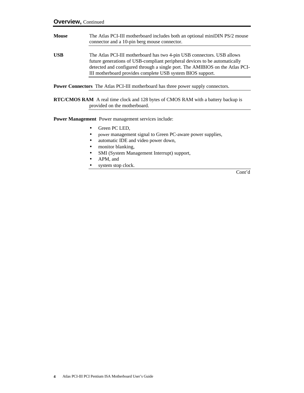**Mouse** The Atlas PCI-III motherboard includes both an optional miniDIN PS/2 mouse connector and a 10-pin berg mouse connector. **USB** The Atlas PCI-III motherboard has two 4-pin USB connectors. USB allows future generations of USB-compliant peripheral devices to be automatically detected and configured through a single port. The AMIBIOS on the Atlas PCI-III motherboard provides complete USB system BIOS support.

**Power Connectors** The Atlas PCI-III motherboard has three power supply connectors.

**RTC/CMOS RAM** A real time clock and 128 bytes of CMOS RAM with a battery backup is provided on the motherboard.

**Power Management** Power management services include:

- Green PC LED,
- power management signal to Green PC-aware power supplies,
- automatic IDE and video power down,
- monitor blanking,
- SMI (System Management Interrupt) support,
- APM, and
- system stop clock.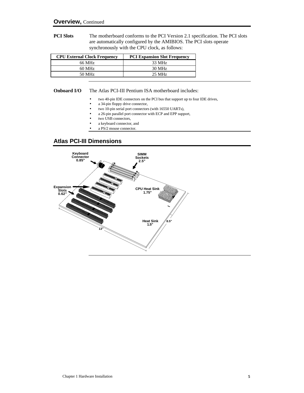**PCI Slots** The motherboard conforms to the PCI Version 2.1 specification. The PCI slots are automatically configured by the AMIBIOS. The PCI slots operate synchronously with the CPU clock, as follows:

| <b>CPU External Clock Frequency</b> | <b>PCI Expansion Slot Frequency</b> |
|-------------------------------------|-------------------------------------|
| 66 MHz                              | 33 MHz                              |
| $60$ MHz                            | 30 MHz                              |
| 50 MHz                              | $25 \text{ MHz}$                    |

### **Onboard I/O** The Atlas PCI-III Pentium ISA motherboard includes:

- two 40-pin IDE connectors on the PCI bus that support up to four IDE drives,
- a 34-pin floppy drive connector,
- two 10-pin serial port connectors (with 16550 UARTs),
- a 26-pin parallel port connector with ECP and EPP support,
- two USB connectors,
- a keyboard connector, and
- a PS/2 mouse connector.

## **Atlas PCI-III Dimensions**

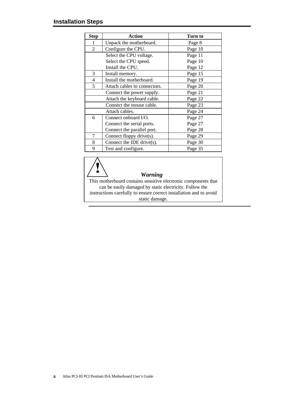| <b>Step</b>                | <b>Action</b>                | Turn to |
|----------------------------|------------------------------|---------|
| 1                          | Unpack the motherboard.      | Page 8  |
| $\overline{2}$             | Configure the CPU.           | Page 10 |
|                            | Select the CPU voltage.      | Page 11 |
|                            | Select the CPU speed.        | Page 10 |
|                            | Install the CPU.             | Page 12 |
| 3                          | Install memory.              | Page 15 |
| 4                          | Install the motherboard.     | Page 19 |
| 5                          | Attach cables to connectors. | Page 20 |
|                            | Connect the power supply.    | Page 21 |
|                            | Attach the keyboard cable.   | Page 22 |
|                            | Connect the mouse cable.     | Page 23 |
|                            | Attach cables.               | Page 24 |
| 6                          | Connect onboard I/O.         | Page 27 |
|                            | Connect the serial ports.    | Page 27 |
| Connect the parallel port. |                              | Page 28 |
| 7                          | Connect floppy drive(s).     | Page 29 |
| 8                          | Connect the IDE drive(s).    | Page 30 |
| 9                          | Test and configure.          | Page 35 |



## *Warning*

This motherboard contains sensitive electronic components that can be easily damaged by static electricity. Follow the instructions carefully to ensure correct installation and to avoid static damage.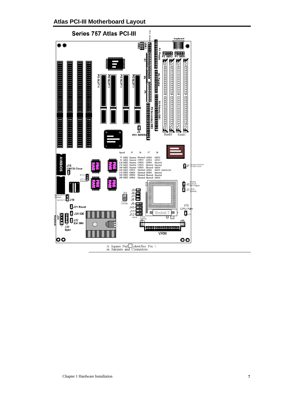**Atlas PCI-III Motherboard Layout**

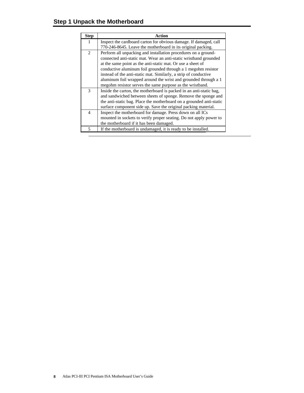| <b>Step</b>              | <b>Action</b>                                                        |  |  |  |  |
|--------------------------|----------------------------------------------------------------------|--|--|--|--|
| $\mathbf{1}$             | Inspect the cardboard carton for obvious damage. If damaged, call    |  |  |  |  |
|                          | 770-246-8645. Leave the motherboard in its original packing.         |  |  |  |  |
| 2                        | Perform all unpacking and installation procedures on a ground-       |  |  |  |  |
|                          | connected anti-static mat. Wear an anti-static wristband grounded    |  |  |  |  |
|                          | at the same point as the anti-static mat. Or use a sheet of          |  |  |  |  |
|                          | conductive aluminum foil grounded through a 1 megohm resistor        |  |  |  |  |
|                          | instead of the anti-static mat. Similarly, a strip of conductive     |  |  |  |  |
|                          | aluminum foil wrapped around the wrist and grounded through a 1      |  |  |  |  |
|                          | megohm resistor serves the same purpose as the wristband.            |  |  |  |  |
| $\mathcal{R}$            | Inside the carton, the motherboard is packed in an anti-static bag,  |  |  |  |  |
|                          | and sandwiched between sheets of sponge. Remove the sponge and       |  |  |  |  |
|                          | the anti-static bag. Place the motherboard on a grounded anti-static |  |  |  |  |
|                          | surface component side up. Save the original packing material.       |  |  |  |  |
| $\overline{\mathcal{A}}$ | Inspect the motherboard for damage. Press down on all ICs            |  |  |  |  |
|                          | mounted in sockets to verify proper seating. Do not apply power to   |  |  |  |  |
|                          | the motherboard if it has been damaged.                              |  |  |  |  |
| 5                        | If the motherboard is undamaged, it is ready to be installed.        |  |  |  |  |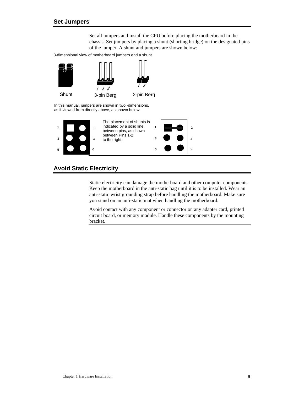Set all jumpers and install the CPU before placing the motherboard in the chassis. Set jumpers by placing a shunt (shorting bridge) on the designated pins of the jumper. A shunt and jumpers are shown below:

3-dimensional view of motherboard jumpers and a shunt.



In this manual, jumpers are shown in two -dimensions, as if viewed from directly above, as shown below:



## **Avoid Static Electricity**

Static electricity can damage the motherboard and other computer components. Keep the motherboard in the anti-static bag until it is to be installed. Wear an anti-static wrist grounding strap before handling the motherboard. Make sure you stand on an anti-static mat when handling the motherboard.

Avoid contact with any component or connector on any adapter card, printed circuit board, or memory module. Handle these components by the mounting bracket.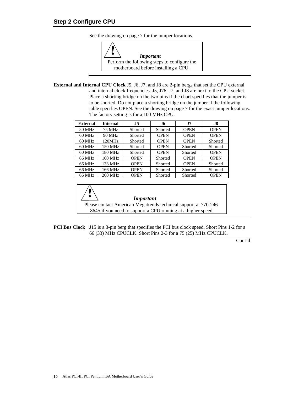See the drawing on page 7 for the jumper locations.



**External and Internal CPU Clock** J5, J6, J7, and J8 are 2-pin bergs that set the CPU external and internal clock frequencies. J5, J76, J7, and J8 are next to the CPU socket. Place a shorting bridge on the two pins if the chart specifies that the jumper is to be shorted. Do not place a shorting bridge on the jumper if the following table specifies OPEN. See the drawing on page 7 for the exact jumper locations. The factory setting is for a 100 MHz CPU.

| <b>External</b> | <b>Internal</b> | <b>J5</b>   | J6          | <b>.17</b>  | J8          |
|-----------------|-----------------|-------------|-------------|-------------|-------------|
| 50 MHz          | 75 MHz          | Shorted     | Shorted     | <b>OPEN</b> | <b>OPEN</b> |
| $60$ MHz        | 90 MHz          | Shorted     | <b>OPEN</b> | <b>OPEN</b> | <b>OPEN</b> |
| 60 MHz          | 120MHz          | Shorted     | <b>OPEN</b> | <b>OPEN</b> | Shorted     |
| $60$ MHz        | 150 MHz         | Shorted     | <b>OPEN</b> | Shorted     | Shorted     |
| $60$ MHz        | 180 MHz         | Shorted     | <b>OPEN</b> | Shorted     | <b>OPEN</b> |
| 66 MHz          | 100 MHz         | <b>OPEN</b> | Shorted     | <b>OPEN</b> | <b>OPEN</b> |
| 66 MHz          | 133 MHz         | <b>OPEN</b> | Shorted     | <b>OPEN</b> | Shorted     |
| 66 MHz          | 166 MHz         | <b>OPEN</b> | Shorted     | Shorted     | Shorted     |
| 66 MHz          | <b>200 MHz</b>  | <b>OPEN</b> | Shorted     | Shorted     | <b>OPEN</b> |



#### *Important*

Please contact American Megatrends technical support at 770-246- 8645 if you need to support a CPU running at a higher speed.

**PCI Bus Clock** J15 is a 3-pin berg that specifies the PCI bus clock speed. Short Pins 1-2 for a 66 (33) MHz CPUCLK. Short Pins 2-3 for a 75 (25) MHz CPUCLK.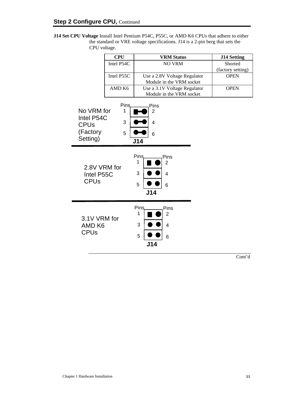**J14 Set CPU Voltage** Install Intel Pentium P54C, P55C, or AMD K6 CPUs that adhere to either the standard or VRE voltage specifications. J14 is a 2-pin berg that sets the CPU voltage.

|                                                  | <b>CPU</b> | <b>VRM Status</b>                                                                  | <b>J14 Setting</b> |
|--------------------------------------------------|------------|------------------------------------------------------------------------------------|--------------------|
|                                                  | Intel P54C | <b>NO VRM</b>                                                                      | Shorted            |
|                                                  |            |                                                                                    | (factory setting)  |
|                                                  | Intel P55C | Use a 2.8V Voltage Regulator                                                       | <b>OPEN</b>        |
|                                                  |            | Module in the VRM socket                                                           |                    |
|                                                  | AMD K6     | Use a 3.1V Voltage Regulator                                                       | <b>OPEN</b>        |
|                                                  |            | Module in the VRM socket                                                           |                    |
| No VRM for                                       | Pins.<br>1 | Pins<br>2                                                                          |                    |
| Intel P54C<br><b>CPUs</b>                        | 3          | 4                                                                                  |                    |
| (Factory<br>Setting)                             | 5          | 6<br>J14                                                                           |                    |
|                                                  |            |                                                                                    |                    |
| 2.8V VRM for<br>Intel P55C<br><b>CPUs</b>        |            | Pins,<br>Pins<br>1<br>$\overline{2}$<br>3<br>$\overline{4}$<br>5<br>6<br>J14       |                    |
| 3.1V VRM for<br>AMD <sub>K6</sub><br><b>CPUs</b> |            | Pins<br>Pins<br>1<br>$\overline{2}$<br>3<br>$\overline{4}$<br>5<br>6<br><b>J14</b> |                    |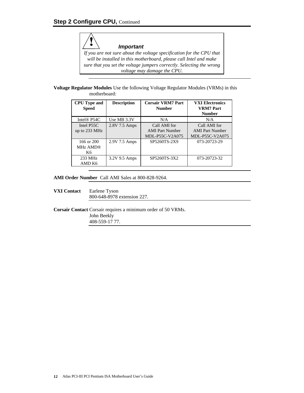*Important If you are not sure about the voltage specification for the CPU that will be installed in this motherboard, please call Intel and make sure that you set the voltage jumpers correctly. Selecting the wrong voltage may damage the CPU.*

**Voltage Regulator Modules** Use the following Voltage Regulator Modules (VRMs) in this motherboard:

| <b>CPU</b> Type and     | <b>Description</b> | <b>Corsair VRM7 Part</b> | <b>VXI Electronics</b>            |
|-------------------------|--------------------|--------------------------|-----------------------------------|
| <b>Speed</b>            |                    | <b>Number</b>            | <b>VRM7</b> Part<br><b>Number</b> |
| Intel <sup>®</sup> P54C | Use MB 3.3V        | N/A                      | N/A                               |
| Intel P55C              | 2.8V 7.5 Amps      | Call AMI for             | Call AMI for                      |
| up to 233 MHz           |                    | <b>AMI</b> Part Number   | <b>AMI</b> Part Number            |
|                         |                    | MDL-P55C-V2A075          | MDL-P55C-V2A075                   |
| 166 or $200$            | 2.9V 7.5 Amps      | SP5260TS-2X9             | 073-20723-29                      |
| <b>MHz AMD®</b>         |                    |                          |                                   |
| K6                      |                    |                          |                                   |
| 233 MHz                 | 3.2V 9.5 Amps      | SP5260TS-3X2             | 073-20723-32                      |
| AMD K6                  |                    |                          |                                   |

## **AMI Order Number** Call AMI Sales at 800-828-9264.

**VXI Contact** Earlene Tyson 800-648-8978 extension 227.

**Corsair Contact** Corsair requires a minimum order of 50 VRMs. John Beekly 408-559-17 77.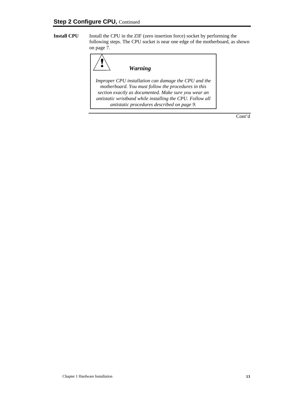**Install CPU** Install the CPU in the ZIF (zero insertion force) socket by performing the following steps. The CPU socket is near one edge of the motherboard, as shown on page 7.



*Improper CPU installation can damage the CPU and the motherboard. You must follow the procedures in this section exactly as documented. Make sure you wear an antistatic wristband while installing the CPU. Follow all antistatic procedures described on page 9.*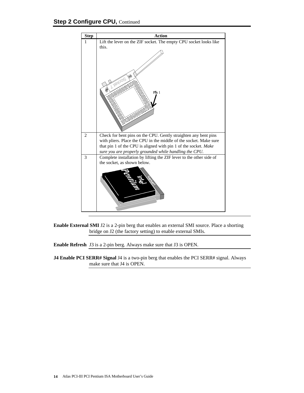

**Enable External SMI** J2 is a 2-pin berg that enables an external SMI source. Place a shorting bridge on J2 (the factory setting) to enable external SMIs.

**Enable Refresh** J3 is a 2-pin berg. Always make sure that J3 is OPEN.

**J4 Enable PCI SERR# Signal** J4 is a two-pin berg that enables the PCI SERR# signal. Always make sure that J4 is OPEN.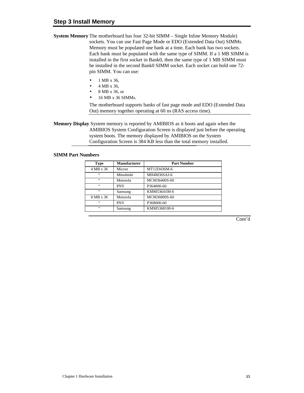- **System Memory** The motherboard has four 32-bit SIMM Single Inline Memory Module) sockets. You can use Fast Page Mode or EDO (Extended Data Out) SIMMs. Memory must be populated one bank at a time. Each bank has two sockets. Each bank must be populated with the same type of SIMM. If a 1 MB SIMM is installed in the first socket in Bank0, then the same type of 1 MB SIMM must be installed in the second Bank0 SIMM socket. Each socket can hold one 72 pin SIMM. You can use:
	- 1 MB x 36,
	- 4 MB x 36,
	- 8 MB x 36, or
	- 16 MB x 36 SIMMs.

The motherboard supports banks of fast page mode and EDO (Extended Data Out) memory together operating at 60 ns (RAS access time).

**Memory Display** System memory is reported by AMIBIOS as it boots and again when the AMIBIOS System Configuration Screen is displayed just before the operating system boots. The memory displayed by AMIBIOS on the System Configuration Screen is 384 KB less than the total memory installed.

## **SIMM Part Numbers**

| Type      | <b>Manufacturer</b> | <b>Part Number</b> |
|-----------|---------------------|--------------------|
| 4 MB x 36 | Micron              | MT12D436M-6        |
| 66        | Mitsubishi          | MH4M36SAJ-6        |
| 66        | Motorola            | MCM36400S-60       |
| 66        | <b>PNY</b>          | P364000-60         |
| 66        | Samsung             | KMM5364100-6       |
| 8 MB x 36 | Motorola            | MCM36800S-60       |
| 66        | <b>PNY</b>          | P368000-60         |
| 66        | Samsung             | KMM5368100-6       |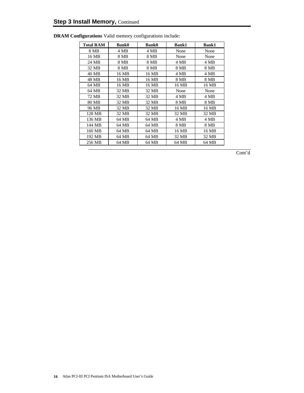| <b>Total RAM</b> | <b>Bank0</b> | <b>Bank0</b> | <b>Bank1</b> | <b>Bank1</b> |
|------------------|--------------|--------------|--------------|--------------|
| 8 MB             | 4 MB         | 4 MB         | None         | None         |
| 16 MB            | 8 MB         | 8 MB         | None         | None         |
| 24 MB            | 8 MB         | 8 MB         | 4 MB         | 4 MB         |
| 32 MB            | 8 MB         | 8 MB         | 8 MB         | 8 MB         |
| 40 MB            | 16 MB        | 16 MB        | 4 MB         | 4 MB         |
| 48 MB            | 16 MB        | 16 MB        | 8 MB         | 8 MB         |
| 64 MB            | 16 MB        | 16 MB        | 16 MB        | 16 MB        |
| 64 MB            | 32 MB        | 32 MB        | None         | None         |
| 72 MB            | 32 MB        | 32 MB        | 4 MB         | 4 MB         |
| 80 MB            | 32 MB        | 32 MB        | 8 MB         | 8 MB         |
| 96 MB            | 32 MB        | 32 MB        | 16 MB        | 16 MB        |
| 128 MB           | 32 MB        | 32 MB        | 32 MB        | 32 MB        |
| 136 MB           | 64 MB        | 64 MB        | 4 MB         | 4 MB         |
| 144 MB           | 64 MB        | 64 MB        | 8 MB         | 8 MB         |
| 160 MB           | 64 MB        | 64 MB        | 16 MB        | 16 MB        |
| 192 MB           | 64 MB        | 64 MB        | 32 MB        | 32 MB        |
| 256 MB           | 64 MB        | 64 MB        | 64 MB        | 64 MB        |

**DRAM Configurations** Valid memory configurations include: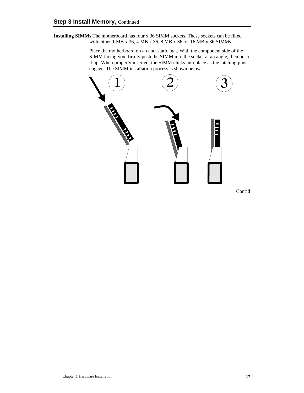**Installing SIMMs** The motherboard has four x 36 SIMM sockets. These sockets can be filled with either 1 MB x 36, 4 MB x 36, 8 MB x 36, or 16 MB x 36 SIMMs.

> Place the motherboard on an anti-static mat. With the component side of the SIMM facing you, firmly push the SIMM into the socket at an angle, then push it up. When properly inserted, the SIMM clicks into place as the latching pins engage. The SIMM installation process is shown below:

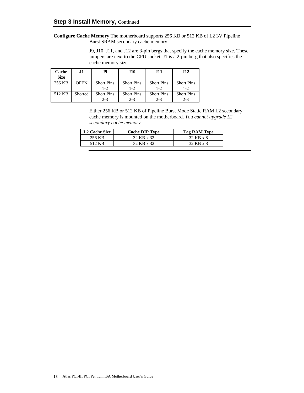**Configure Cache Memory** The motherboard supports 256 KB or 512 KB of L2 3V Pipeline Burst SRAM secondary cache memory.

> J9, J10, J11, and J12 are 3-pin bergs that specify the cache memory size. These jumpers are next to the CPU socket. J1 is a 2-pin berg that also specifies the cache memory size.

| Cache<br><b>Size</b> | .H          | J9                           | J10                          | <b>J11</b>                   | <b>J12</b>                   |
|----------------------|-------------|------------------------------|------------------------------|------------------------------|------------------------------|
| 256 KB               | <b>OPEN</b> | <b>Short Pins</b><br>$1 - 2$ | <b>Short Pins</b><br>$1 - 2$ | <b>Short Pins</b><br>$1 - 2$ | <b>Short Pins</b><br>$1 - 2$ |
| 512 KB               | Shorted     | <b>Short Pins</b><br>$2 - 3$ | <b>Short Pins</b><br>$2 - 3$ | <b>Short Pins</b><br>$2 - 3$ | <b>Short Pins</b><br>$2 - 3$ |

Either 256 KB or 512 KB of Pipeline Burst Mode Static RAM L2 secondary cache memory is mounted on the motherboard. *You cannot upgrade L2 secondary cache memory.*

| <b>L2 Cache Size</b> | <b>Cache DIP Type</b> | Tag RAM Type |
|----------------------|-----------------------|--------------|
| 256 KB               | 32 KB x 32            | 32 KB x 8    |
| 512 KB               | 32 KB x 32            | 32 KB x 8    |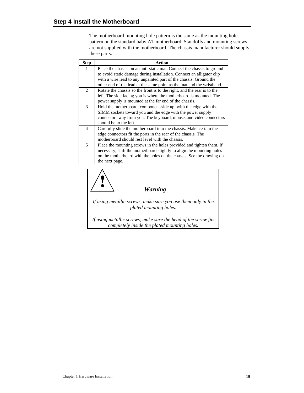The motherboard mounting hole pattern is the same as the mounting hole pattern on the standard baby AT motherboard. Standoffs and mounting screws are not supplied with the motherboard. The chassis manufacturer should supply these parts.

| <b>Step</b> | <b>Action</b>                                                                                                                                                                                                                           |
|-------------|-----------------------------------------------------------------------------------------------------------------------------------------------------------------------------------------------------------------------------------------|
| 1           | Place the chassis on an anti-static mat. Connect the chassis to ground<br>to avoid static damage during installation. Connect an alligator clip                                                                                         |
|             | with a wire lead to any unpainted part of the chassis. Ground the<br>other end of the lead at the same point as the mat and the wristband.                                                                                              |
| 2           | Rotate the chassis so the front is to the right, and the rear is to the<br>left. The side facing you is where the motherboard is mounted. The<br>power supply is mounted at the far end of the chassis.                                 |
| 3           | Hold the motherboard, component-side up, with the edge with the<br>SIMM sockets toward you and the edge with the power supply<br>connector away from you. The keyboard, mouse, and video connectors<br>should be to the left.           |
| 4           | Carefully slide the motherboard into the chassis. Make certain the<br>edge connectors fit the ports in the rear of the chassis. The<br>motherboard should rest level with the chassis.                                                  |
| 5           | Place the mounting screws in the holes provided and tighten them. If<br>necessary, shift the motherboard slightly to align the mounting holes<br>on the motherboard with the holes on the chassis. See the drawing on<br>the next page. |



*Warning*

*If using metallic screws, make sure you use them only in the plated mounting holes.*

*If using metallic screws, make sure the head of the screw fits completely inside the plated mounting holes.*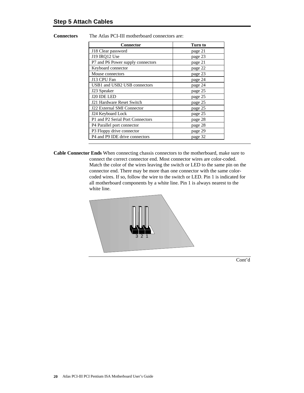**Connectors** The Atlas PCI-III motherboard connectors are:

| <b>Connector</b>                       | Turn to |
|----------------------------------------|---------|
| J18 Clear password                     | page 21 |
| J19 IRQ12 Use                          | page 23 |
| P7 and P6 Power supply connectors      | page 21 |
| Keyboard connector                     | page 22 |
| Mouse connectors                       | page 23 |
| J13 CPU Fan                            | page 24 |
| USB1 and USB2 USB connectors           | page 24 |
| J23 Speaker                            | page 25 |
| J20 IDE LED                            | page 25 |
| J21 Hardware Reset Switch              | page 25 |
| <b>J22 External SMI Connector</b>      | page 25 |
| J24 Keyboard Lock                      | page 25 |
| P1 and P2 Serial Port Connectors       | page 28 |
| P <sub>4</sub> Parallel port connector | page 28 |
| P3 Floppy drive connector              | page 29 |
| P4 and P9 IDE drive connectors         | page 32 |

**Cable Connector Ends** When connecting chassis connectors to the motherboard, make sure to connect the correct connector end. Most connector wires are color-coded. Match the color of the wires leaving the switch or LED to the same pin on the connector end. There may be more than one connector with the same colorcoded wires. If so, follow the wire to the switch or LED. Pin 1 is indicated for all motherboard components by a white line. Pin 1 is always nearest to the white line.

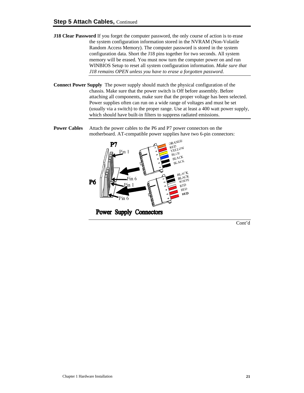- **J18 Clear Password** If you forget the computer password, the only course of action is to erase the system configuration information stored in the NVRAM (Non-Volatile Random Access Memory). The computer password is stored in the system configuration data. Short the J18 pins together for two seconds. All system memory will be erased. You must now turn the computer power on and run WINBIOS Setup to reset all system configuration information. *Make sure that J18 remains OPEN unless you have to erase a forgotten password.*
- **Connect Power Supply** The power supply should match the physical configuration of the chassis. Make sure that the power switch is Off before assembly. Before attaching all components, make sure that the proper voltage has been selected. Power supplies often can run on a wide range of voltages and must be set (usually via a switch) to the proper range. Use at least a 400 watt power supply, which should have built-in filters to suppress radiated emissions.
- **Power Cables** Attach the power cables to the P6 and P7 power connectors on the motherboard. AT-compatible power supplies have two 6-pin connectors:



Power Supply Connectors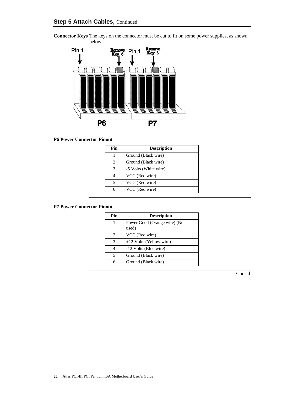

**Connector Keys** The keys on the connector must be cut to fit on some power supplies, as shown below.

## **P6 Power Connector Pinout**

| Pin | <b>Description</b>    |
|-----|-----------------------|
|     | Ground (Black wire)   |
| 2   | Ground (Black wire)   |
| 3   | -5 Volts (White wire) |
|     | VCC (Red wire)        |
|     | VCC (Red wire)        |
|     | VCC (Red wire)        |

### **P7 Power Connector Pinout**

| Pin | <b>Description</b>                     |
|-----|----------------------------------------|
|     | Power Good (Orange wire) (Not<br>used) |
|     |                                        |
| 2   | VCC (Red wire)                         |
| 3   | $+12$ Volts (Yellow wire)              |
|     | -12 Volts (Blue wire)                  |
| 5   | Ground (Black wire)                    |
| 6   | Ground (Black wire)                    |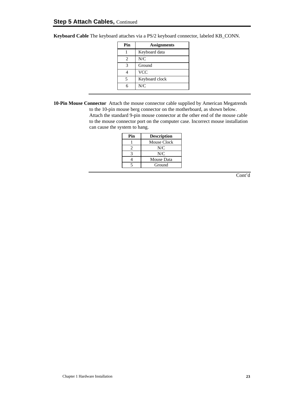| Pin                      | <b>Assignments</b> |  |
|--------------------------|--------------------|--|
|                          | Keyboard data      |  |
| 2                        | N/C                |  |
| 3                        | Ground             |  |
|                          | <b>VCC</b>         |  |
| $\overline{\phantom{1}}$ | Keyboard clock     |  |
|                          | N/C                |  |

**Keyboard Cable** The keyboard attaches via a PS/2 keyboard connector, labeled KB\_CONN.

**10-Pin Mouse Connector** Attach the mouse connector cable supplied by American Megatrends to the 10-pin mouse berg connector on the motherboard, as shown below.

Attach the standard 9-pin mouse connector at the other end of the mouse cable to the mouse connector port on the computer case. Incorrect mouse installation can cause the system to hang.

| Pin | <b>Description</b> |
|-----|--------------------|
|     | Mouse Clock        |
|     | N/C                |
|     | N/C                |
|     | Mouse Data         |
|     | Ground             |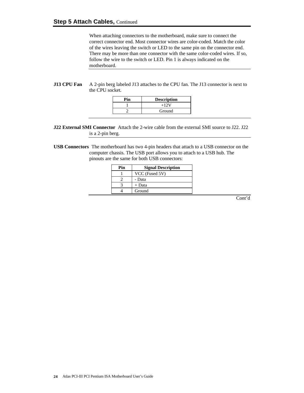When attaching connectors to the motherboard, make sure to connect the correct connector end. Most connector wires are color-coded. Match the color of the wires leaving the switch or LED to the same pin on the connector end. There may be more than one connector with the same color-coded wires. If so, follow the wire to the switch or LED. Pin 1 is always indicated on the motherboard.

## **J13 CPU Fan** A 2-pin berg labeled J13 attaches to the CPU fan. The J13 connector is next to the CPU socket.

| Pin | <b>Description</b> |
|-----|--------------------|
|     | $+12V$             |
|     | Ground             |

**J22 External SMI Connector** Attach the 2-wire cable from the external SMI source to J22. J22 is a 2-pin berg.

**USB Connectors** The motherboard has two 4-pin headers that attach to a USB connector on the computer chassis. The USB port allows you to attach to a USB hub. The pinouts are the same for both USB connectors:

| Pin | <b>Signal Description</b> |
|-----|---------------------------|
|     | VCC (Fused 5V)            |
|     | - Data                    |
|     | + Data                    |
|     | Ground                    |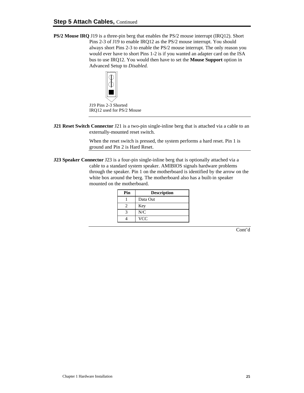**PS/2 Mouse IRQ** J19 is a three-pin berg that enables the PS/2 mouse interrupt (IRQ12). Short Pins 2-3 of J19 to enable IRQ12 as the PS/2 mouse interrupt. You should always short Pins 2-3 to enable the PS/2 mouse interrupt. The only reason you would ever have to short Pins 1-2 is if you wanted an adapter card on the ISA bus to use IRQ12. You would then have to set the **Mouse Support** option in Advanced Setup to *Disabled.*



J19 Pins 2-3 Shorted IRQ12 used for PS/2 Mouse

**J21 Reset Switch Connector** J21 is a two-pin single-inline berg that is attached via a cable to an externally-mounted reset switch.

> When the reset switch is pressed, the system performs a hard reset. Pin 1 is ground and Pin 2 is Hard Reset.

**J23 Speaker Connector** J23 is a four-pin single-inline berg that is optionally attached via a cable to a standard system speaker. AMIBIOS signals hardware problems through the speaker. Pin 1 on the motherboard is identified by the arrow on the white box around the berg. The motherboard also has a built-in speaker mounted on the motherboard.

| Pin | <b>Description</b> |
|-----|--------------------|
|     | Data Out           |
|     | Key                |
|     | N/C                |
|     | <b>VCC</b>         |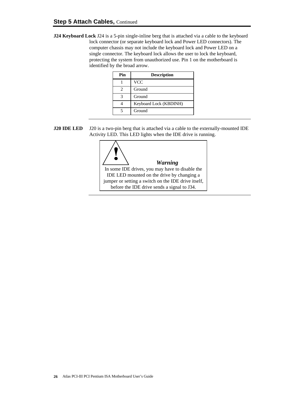**J24 Keyboard Lock** J24 is a 5-pin single-inline berg that is attached via a cable to the keyboard lock connector (or separate keyboard lock and Power LED connectors). The computer chassis may not include the keyboard lock and Power LED on a single connector. The keyboard lock allows the user to lock the keyboard, protecting the system from unauthorized use. Pin 1 on the motherboard is identified by the broad arrow.

| Pin | <b>Description</b>     |
|-----|------------------------|
|     | <b>VCC</b>             |
|     | Ground                 |
|     | Ground                 |
|     | Keyboard Lock (KBDINH) |
|     | Ground                 |

**J20 IDE LED** J20 is a two-pin berg that is attached via a cable to the externally-mounted IDE Activity LED. This LED lights when the IDE drive is running.

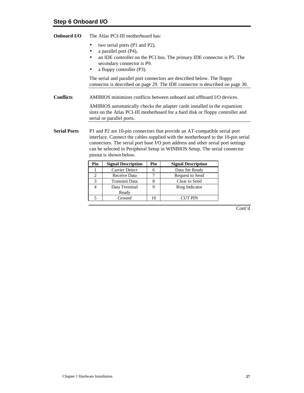- two serial ports (P1 and P2),
- a parallel port (P4),
- an IDE controller on the PCI bus. The primary IDE connector is P5. The secondary connector is P9.
- a floppy controller (P3).

The serial and parallel port connectors are described below. The floppy connector is described on page 29. The IDE connector is described on page 30.

**Conflicts** AMIBIOS minimizes conflicts between onboard and offboard I/O devices.

AMIBIOS automatically checks the adapter cards installed in the expansion slots on the Atlas PCI-III motherboard for a hard disk or floppy controller and serial or parallel ports.

**Serial Ports** P1 and P2 are 10-pin connectors that provide an AT-compatible serial port interface. Connect the cables supplied with the motherboard to the 10-pin serial connectors. The serial port base I/O port address and other serial port settings can be selected in Peripheral Setup in WINBIOS Setup. The serial connector pinout is shown below.

| Pin | <b>Signal Description</b> | Pin | <b>Signal Description</b> |
|-----|---------------------------|-----|---------------------------|
|     | Carrier Detect            |     | Data Set Ready            |
|     | Receive Data              |     | Request to Send           |
|     | Transmit Data             |     | Clear to Send             |
|     | Data Terminal             |     | Ring Indicator            |
|     | Ready                     |     |                           |
|     | Ground                    |     | CUT PIN                   |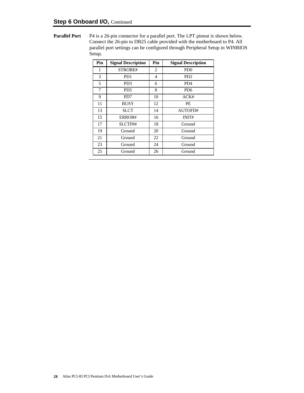**Parallel Port** P4 is a 26-pin connector for a parallel port. The LPT pinout is shown below. Connect the 26-pin to DB25 cable provided with the motherboard to P4. All parallel port settings can be configured through Peripheral Setup in WINBIOS Setup.

| Pin | <b>Signal Description</b> | Pin | <b>Signal Description</b>   |  |
|-----|---------------------------|-----|-----------------------------|--|
| 1   | STROBE#                   | 2   | P <sub>D</sub> <sup>0</sup> |  |
| 3   | PD <sub>1</sub>           | 4   | P <sub>D</sub> <sub>2</sub> |  |
| 5   | PD <sub>3</sub>           | 6   | P <sub>D</sub> <sub>4</sub> |  |
| 7   | PD <sub>5</sub>           | 8   | PD <sub>6</sub>             |  |
| 9   | PD7                       | 10  | ACK#                        |  |
| 11  | <b>BUSY</b>               | 12  | PE                          |  |
| 13  | <b>SLCT</b>               | 14  | AUTOFD#                     |  |
| 15  | ERROR#                    | 16  | INIT#                       |  |
| 17  | SLCTIN#                   | 18  | Ground                      |  |
| 19  | Ground                    | 20  | Ground                      |  |
| 21  | Ground                    | 22  | Ground                      |  |
| 23  | Ground                    | 24  | Ground                      |  |
| 25  | Ground                    | 26  | Ground                      |  |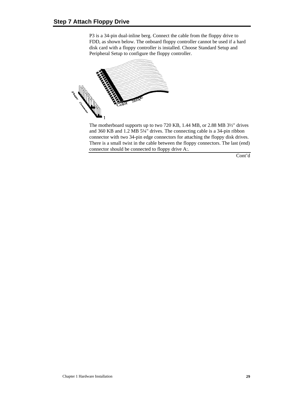P3 is a 34-pin dual-inline berg. Connect the cable from the floppy drive to FDD, as shown below. The onboard floppy controller cannot be used if a hard disk card with a floppy controller is installed. Choose Standard Setup and Peripheral Setup to configure the floppy controller.



The motherboard supports up to two 720 KB, 1.44 MB, or 2.88 MB 3½" drives and 360 KB and 1.2 MB 5¼" drives. The connecting cable is a 34-pin ribbon connector with two 34-pin edge connectors for attaching the floppy disk drives. There is a small twist in the cable between the floppy connectors. The last (end) connector should be connected to floppy drive A:.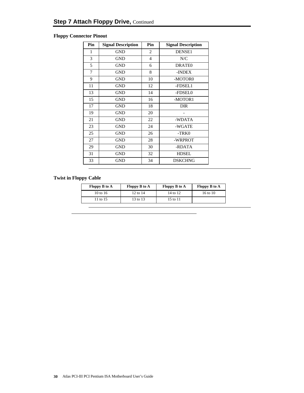## **Floppy Connector Pinout**

| Pin | <b>Signal Description</b> | Pin            | <b>Signal Description</b> |
|-----|---------------------------|----------------|---------------------------|
| 1   | <b>GND</b>                | 2              | DENSE1                    |
| 3   | <b>GND</b>                | $\overline{4}$ | N/C                       |
| 5   | <b>GND</b>                | 6              | DRATE <sub>0</sub>        |
| 7   | <b>GND</b>                | 8              | -INDEX                    |
| 9   | <b>GND</b>                | 10             | -MOTOR0                   |
| 11  | <b>GND</b>                | 12             | -FDSEL1                   |
| 13  | <b>GND</b>                | 14             | -FDSEL0                   |
| 15  | <b>GND</b>                | 16             | -MOTOR1                   |
| 17  | <b>GND</b>                | 18             | <b>DIR</b>                |
| 19  | <b>GND</b>                | 20             |                           |
| 21  | <b>GND</b>                | 22             | -WDATA                    |
| 23  | <b>GND</b>                | 24             | -WGATE                    |
| 25  | <b>GND</b>                | 26             | -TRK0                     |
| 27  | <b>GND</b>                | 28             | -WRPROT                   |
| 29  | <b>GND</b>                | 30             | -RDATA                    |
| 31  | <b>GND</b>                | 32             | <b>HDSEL</b>              |
| 33  | <b>GND</b>                | 34             | <b>DSKCHNG</b>            |

## **Twist in Floppy Cable**

| <b>Floppy B to A</b> | Floppy B to A | Floppy B to A | <b>Floppy B to A</b> |
|----------------------|---------------|---------------|----------------------|
| 10 to 16             | 12 to 14      | 14 to 12      | 16 to 10             |
| 11 to 15             | 13 to 13      | 15 to 11      |                      |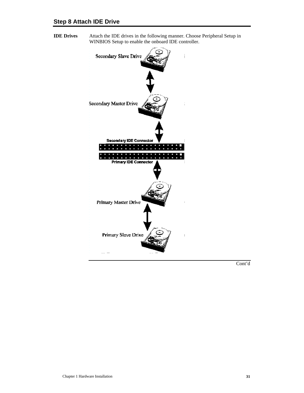**IDE Drives** Attach the IDE drives in the following manner. Choose Peripheral Setup in WINBIOS Setup to enable the onboard IDE controller.

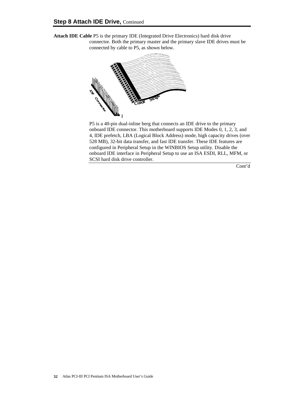**Attach IDE Cable** P5 is the primary IDE (Integrated Drive Electronics) hard disk drive connector. Both the primary master and the primary slave IDE drives must be connected by cable to P5, as shown below.



P5 is a 40-pin dual-inline berg that connects an IDE drive to the primary onboard IDE connector. This motherboard supports IDE Modes 0, 1, 2, 3, and 4, IDE prefetch, LBA (Logical Block Address) mode, high capacity drives (over 528 MB), 32-bit data transfer, and fast IDE transfer. These IDE features are configured in Peripheral Setup in the WINBIOS Setup utility. Disable the onboard IDE interface in Peripheral Setup to use an ISA ESDI, RLL, MFM, or SCSI hard disk drive controller.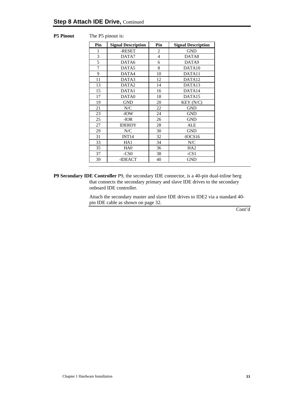| <b>P5 Pinout</b> | The P5 pinout is: |
|------------------|-------------------|
|------------------|-------------------|

| Pin | <b>Signal Description</b> | Pin            | <b>Signal Description</b> |
|-----|---------------------------|----------------|---------------------------|
| 1   | -RESET                    | 2              | <b>GND</b>                |
| 3   | DATA7                     | $\overline{4}$ | DATA8                     |
| 5   | DATA6                     | 6              | DATA9                     |
| 7   | DATA5                     | 8              | DATA10                    |
| 9   | DATA4                     | 10             | DATA11                    |
| 11  | DATA3                     | 12             | DATA12                    |
| 13  | DATA <sub>2</sub>         | 14             | DATA13                    |
| 15  | DATA1                     | 16             | DATA14                    |
| 17  | DATA0                     | 18             | DATA15                    |
| 19  | <b>GND</b>                | 20             | KEY (N/C)                 |
| 21  | N/C                       | 22             | <b>GND</b>                |
| 23  | -IOW                      | 24             | <b>GND</b>                |
| 25  | $-IOR$                    | 26             | <b>GND</b>                |
| 27  | <b>IDERDY</b>             | 28             | ALE                       |
| 29  | N/C                       | 30             | <b>GND</b>                |
| 31  | INT <sub>14</sub>         | 32             | $-IOCS16$                 |
| 33  | HA1                       | 34             | N/C                       |
| 35  | HA <sub>0</sub>           | 36             | HA <sub>2</sub>           |
| 37  | $-CS0$                    | 38             | $-CS1$                    |
| 39  | -IDEACT                   | 40             | <b>GND</b>                |

**P9 Secondary IDE Controller** P9, the secondary IDE connector, is a 40-pin dual-inline berg that connects the secondary primary and slave IDE drives to the secondary onboard IDE controller.

> Attach the secondary master and slave IDE drives to IDE2 via a standard 40 pin IDE cable as shown on page 32.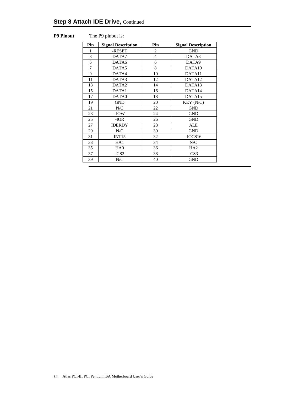#### **P9 Pinout** The P9 pinout is:

| Pin | <b>Signal Description</b> | Pin            | <b>Signal Description</b> |
|-----|---------------------------|----------------|---------------------------|
| 1   | -RESET                    | $\overline{c}$ | <b>GND</b>                |
| 3   | DATA7                     | $\overline{4}$ | DATA8                     |
| 5   | DATA6                     | 6              | DATA9                     |
| 7   | DATA5                     | 8              | DATA10                    |
| 9   | DATA4                     | 10             | DATA11                    |
| 11  | DATA3                     | 12             | DATA12                    |
| 13  | DATA <sub>2</sub>         | 14             | DATA13                    |
| 15  | DATA1                     | 16             | DATA14                    |
| 17  | DATA0                     | 18             | DATA <sub>15</sub>        |
| 19  | <b>GND</b>                | 20             | KEY (N/C)                 |
| 21  | N/C                       | 22             | <b>GND</b>                |
| 23  | -IOW                      | 24             | <b>GND</b>                |
| 25  | -IOR                      | 26             | <b>GND</b>                |
| 27  | <b>IDERDY</b>             | 28             | <b>ALE</b>                |
| 29  | N/C                       | 30             | <b>GND</b>                |
| 31  | INT <sub>15</sub>         | 32             | $-IOCS16$                 |
| 33  | HA1                       | 34             | N/C                       |
| 35  | HA <sub>0</sub>           | 36             | HA <sub>2</sub>           |
| 37  | $-CS2$                    | 38             | $-CS3$                    |
| 39  | N/C                       | 40             | <b>GND</b>                |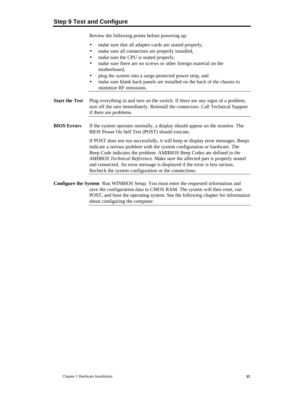Review the following points before powering up:

- make sure that all adapter cards are seated properly,
- make sure all connectors are properly installed,
- make sure the CPU is seated properly,
- make sure there are no screws or other foreign material on the motherboard,
- plug the system into a surge-protected power strip, and
- make sure blank back panels are installed on the back of the chassis to minimize RF emissions.
- **Start the Test** Plug everything in and turn on the switch. If there are any signs of a problem, turn off the unit immediately. Reinstall the connectors. Call Technical Support if there are problems.
- **BIOS Errors** If the system operates normally, a display should appear on the monitor. The BIOS Power On Self Test (POST) should execute.

If POST does not run successfully, it will beep or display error messages. Beeps indicate a serious problem with the system configuration or hardware. The Beep Code indicates the problem. AMIBIOS Beep Codes are defined in *the AMIBIOS Technical Reference.* Make sure the affected part is properly seated and connected. An error message is displayed if the error is less serious. Recheck the system configuration or the connections.

**Configure the System** Run WINBIOS Setup. You must enter the requested information and save the configuration data in CMOS RAM. The system will then reset, run POST, and boot the operating system. See the following chapter for information about configuring the computer.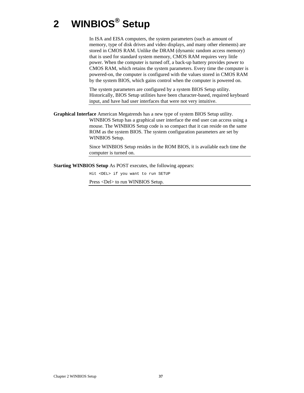# **2 WINBIOS® Setup**

In ISA and EISA computers, the system parameters (such as amount of memory, type of disk drives and video displays, and many other elements) are stored in CMOS RAM. Unlike the DRAM (dynamic random access memory) that is used for standard system memory, CMOS RAM requires very little power. When the computer is turned off, a back-up battery provides power to CMOS RAM, which retains the system parameters. Every time the computer is powered-on, the computer is configured with the values stored in CMOS RAM by the system BIOS, which gains control when the computer is powered on.

The system parameters are configured by a system BIOS Setup utility. Historically, BIOS Setup utilities have been character-based, required keyboard input, and have had user interfaces that were not very intuitive.

**Graphical Interface** American Megatrends has a new type of system BIOS Setup utility. WINBIOS Setup has a graphical user interface the end user can access using a mouse. The WINBIOS Setup code is so compact that it can reside on the same ROM as the system BIOS. The system configuration parameters are set by WINBIOS Setup.

> Since WINBIOS Setup resides in the ROM BIOS, it is available each time the computer is turned on.

**Starting WINBIOS Setup** As POST executes, the following appears:

Hit <DEL> if you want to run SETUP

Press <Del> to run WINBIOS Setup.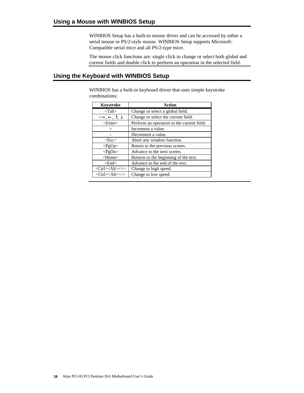WINBIOS Setup has a built-in mouse driver and can be accessed by either a serial mouse or PS/2-style mouse. WINBIOS Setup supports Microsoft-Compatible serial mice and all PS/2-type mice.

The mouse click functions are: single click to change or select both global and current fields and double click to perform an operation in the selected field.

### **Using the Keyboard with WINBIOS Setup**

WINBIOS has a built-in keyboard driver that uses simple keystroke combinations:

| <b>Keystroke</b>                                             | Action                                     |
|--------------------------------------------------------------|--------------------------------------------|
| $<$ Tab $>$                                                  | Change or select a global field.           |
| $\leftrightarrow$ , $\leftarrow$ , $\uparrow$ , $\downarrow$ | Change or select the current field.        |
| $<$ Enter $>$                                                | Perform an operation in the current field. |
| $^+$                                                         | Increment a value.                         |
|                                                              | Decrement a value.                         |
| $\langle$ Esc $\rangle$                                      | Abort any window function.                 |
| $<$ PgUp $>$                                                 | Return to the previous screen.             |
| $<$ PgDn>                                                    | Advance to the next screen.                |
| <home></home>                                                | Returns to the beginning of the text.      |
| $<$ End $>$                                                  | Advance to the end of the text.            |
| <ctrl><alt>&lt;+&gt;</alt></ctrl>                            | Change to high speed.                      |
| <ctrl><alt>&lt;-&gt;</alt></ctrl>                            | Change to low speed.                       |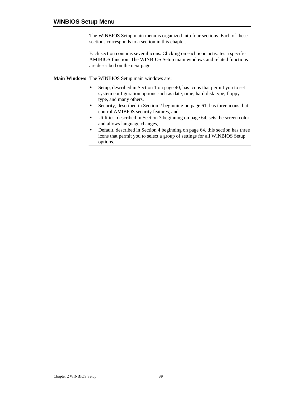The WINBIOS Setup main menu is organized into four sections. Each of these sections corresponds to a section in this chapter.

Each section contains several icons. Clicking on each icon activates a specific AMIBIOS function. The WINBIOS Setup main windows and related functions are described on the next page.

**Main Windows** The WINBIOS Setup main windows are:

- Setup, described in Section 1 on page 40, has icons that permit you to set system configuration options such as date, time, hard disk type, floppy type, and many others,
- Security, described in Section 2 beginning on page 61, has three icons that control AMIBIOS security features, and
- Utilities, described in Section 3 beginning on page 64, sets the screen color and allows language changes,
- Default, described in Section 4 beginning on page 64, this section has three icons that permit you to select a group of settings for all WINBIOS Setup options.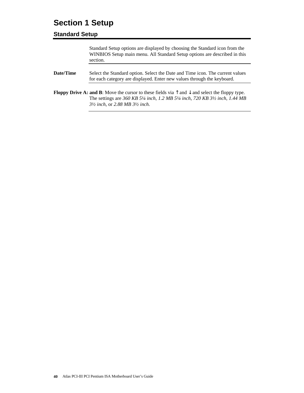## **Section 1 Setup**

### **Standard Setup**

|           | Standard Setup options are displayed by choosing the Standard icon from the<br>WINBIOS Setup main menu. All Standard Setup options are described in this<br>section.                                                                                                                                                   |
|-----------|------------------------------------------------------------------------------------------------------------------------------------------------------------------------------------------------------------------------------------------------------------------------------------------------------------------------|
| Date/Time | Select the Standard option. Select the Date and Time icon. The current values<br>for each category are displayed. Enter new values through the keyboard.                                                                                                                                                               |
|           | <b>Floppy Drive A: and B:</b> Move the cursor to these fields via $\uparrow$ and $\downarrow$ and select the floppy type.<br>The settings are 360 KB 5 <sup>1</sup> /4 inch, 1.2 MB 5 <sup>1</sup> /4 inch, 720 KB 3 <sup>1</sup> / <sub>2</sub> inch, 1.44 MB<br>$3\frac{1}{2}$ inch, or 2.88 MB $3\frac{1}{2}$ inch. |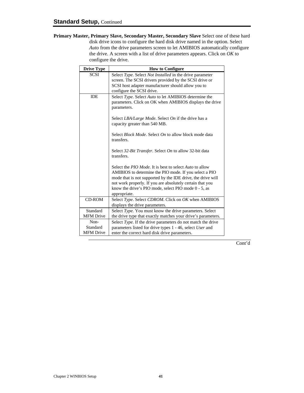**Primary Master, Primary Slave, Secondary Master, Secondary Slave** Select one of these hard disk drive icons to configure the hard disk drive named in the option. Select *Auto* from the drive parameters screen to let AMIBIOS automatically configure the drive. A screen with a list of drive parameters appears. Click on *OK* to configure the drive.

| <b>Drive Type</b>                    | <b>How to Configure</b>                                                                                                                                                                                                                                                                                               |
|--------------------------------------|-----------------------------------------------------------------------------------------------------------------------------------------------------------------------------------------------------------------------------------------------------------------------------------------------------------------------|
| <b>SCSI</b>                          | Select Type. Select Not Installed in the drive parameter<br>screen. The SCSI drivers provided by the SCSI drive or<br>SCSI host adapter manufacturer should allow you to<br>configure the SCSI drive.                                                                                                                 |
| <b>IDE</b>                           | Select Type. Select Auto to let AMIBIOS determine the<br>parameters. Click on OK when AMIBIOS displays the drive<br>parameters.                                                                                                                                                                                       |
|                                      | Select LBA/Large Mode. Select On if the drive has a<br>capacity greater than 540 MB.                                                                                                                                                                                                                                  |
|                                      | Select <i>Block Mode</i> . Select <i>On</i> to allow block mode data<br>transfers.                                                                                                                                                                                                                                    |
|                                      | Select 32-Bit Transfer. Select On to allow 32-bit data<br>transfers.                                                                                                                                                                                                                                                  |
|                                      | Select the PIO Mode. It is best to select Auto to allow<br>AMIBIOS to determine the PIO mode. If you select a PIO<br>mode that is not supported by the IDE drive, the drive will<br>not work properly. If you are absolutely certain that you<br>know the drive's PIO mode, select PIO mode 0 - 5, as<br>appropriate. |
| <b>CD-ROM</b>                        | Select Type. Select CDROM. Click on OK when AMIBIOS<br>displays the drive parameters.                                                                                                                                                                                                                                 |
| Standard<br><b>MFM</b> Drive         | Select Type. You must know the drive parameters. Select<br>the drive type that exactly matches your drive's parameters.                                                                                                                                                                                               |
| Non-<br>Standard<br><b>MFM</b> Drive | Select Type. If the drive parameters do not match the drive<br>parameters listed for drive types 1 - 46, select User and<br>enter the correct hard disk drive parameters.                                                                                                                                             |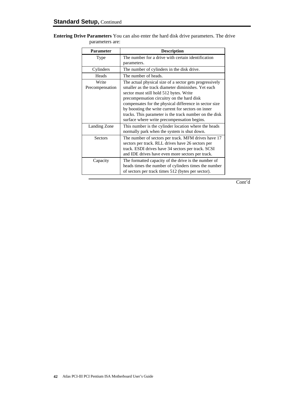| <b>Parameter</b>         | <b>Description</b>                                                                                                                                                                                                    |  |
|--------------------------|-----------------------------------------------------------------------------------------------------------------------------------------------------------------------------------------------------------------------|--|
| Type                     | The number for a drive with certain identification                                                                                                                                                                    |  |
|                          | parameters.                                                                                                                                                                                                           |  |
| Cylinders                | The number of cylinders in the disk drive.                                                                                                                                                                            |  |
| Heads                    | The number of heads.                                                                                                                                                                                                  |  |
| Write<br>Precompensation | The actual physical size of a sector gets progressively<br>smaller as the track diameter diminishes. Yet each<br>sector must still hold 512 bytes. Write<br>precompensation circuitry on the hard disk                |  |
|                          | compensates for the physical difference in sector size<br>by boosting the write current for sectors on inner<br>tracks. This parameter is the track number on the disk<br>surface where write precompensation begins. |  |
| Landing Zone             | This number is the cylinder location where the heads<br>normally park when the system is shut down.                                                                                                                   |  |
| <b>Sectors</b>           | The number of sectors per track. MFM drives have 17<br>sectors per track. RLL drives have 26 sectors per<br>track. ESDI drives have 34 sectors per track. SCSI<br>and IDE drives have even more sectors per track.    |  |
| Capacity                 | The formatted capacity of the drive is the number of<br>heads times the number of cylinders times the number<br>of sectors per track times 512 (bytes per sector).                                                    |  |

**Entering Drive Parameters** You can also enter the hard disk drive parameters. The drive parameters are: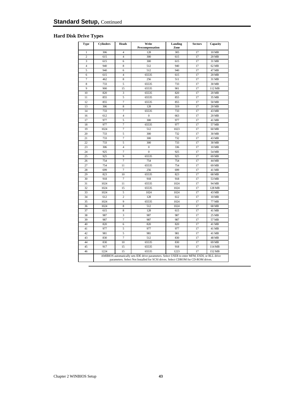### **Hard Disk Drive Types**

| <b>Type</b>    | <b>Cylinders</b> | <b>Heads</b>   | Write<br>Precompensation                                                                                                                                                           | Landing<br>Zone | <b>Sectors</b> | Capacity |
|----------------|------------------|----------------|------------------------------------------------------------------------------------------------------------------------------------------------------------------------------------|-----------------|----------------|----------|
| $\mathbf{1}$   | 306              | $\overline{4}$ | 128                                                                                                                                                                                | 305             | 17             | 10 MB    |
| $\overline{c}$ | 615              | $\overline{4}$ | 300                                                                                                                                                                                | 615             | 17             | 20 MB    |
| 3              | 615              | 6              | 300                                                                                                                                                                                | 615             | 17             | 31 MB    |
| $\overline{4}$ | 940              | 8              | 512                                                                                                                                                                                | 940             | 17             | 62 MB    |
| 5              | 940              | 6              | 512                                                                                                                                                                                | 940             | 17             | 47 MB    |
| 6              | 615              | $\overline{4}$ | 65535                                                                                                                                                                              | 615             | 17             | 20 MB    |
| $\overline{7}$ | 462              | 8              | 256                                                                                                                                                                                | 511             | 17             | 31 MB    |
| 8              | 733              | 5              | 65535                                                                                                                                                                              | 733             | 17             | 30 MB    |
| 9              | 900              | 15             | 65535                                                                                                                                                                              | 901             | 17             | 112 MB   |
| 10             | 820              | 3              | 65535                                                                                                                                                                              | 820             | 17             | 20 MB    |
| 11             | 855              | 5              | 65535                                                                                                                                                                              | 855             | 17             | 35 MB    |
| 12             | 855              | $\overline{7}$ | 65535                                                                                                                                                                              | 855             | 17             | 50 MB    |
| 13             | 306              | 8              | 128                                                                                                                                                                                | 319             | 17             | 20 MB    |
| 14             | 733              | $\overline{7}$ | 65535                                                                                                                                                                              | 733             | 17             | 43 MB    |
| 16             | 612              | $\overline{4}$ | $\boldsymbol{0}$                                                                                                                                                                   | 663             | 17             | 20 MB    |
| 17             | 977              | 5              | 300                                                                                                                                                                                | 977             | 17             | 41 MB    |
| 18             | 977              | $\overline{7}$ | 65535                                                                                                                                                                              | 977             | 17             | 57 MB    |
| 19             | 1024             | $\overline{7}$ | 512                                                                                                                                                                                | 1023            | 17             | 60 MB    |
| 20             | 733              | 5              | 300                                                                                                                                                                                | 732             | 17             | 30 MB    |
| 21             | 733              | $\overline{7}$ | 300                                                                                                                                                                                | 732             | 17             | 43 MB    |
| 22             | 733              | 5              | 300                                                                                                                                                                                | 733             | 17             | 30 MB    |
| 23             | 306              | $\overline{4}$ | $\boldsymbol{0}$                                                                                                                                                                   | 336             | 17             | 10 MB    |
| 24             | 925              | $\overline{7}$ | $\boldsymbol{0}$                                                                                                                                                                   | 925             | 17             | 54 MB    |
| 25             | 925              | 9              | 65535                                                                                                                                                                              | 925             | 17             | 69 MB    |
| 26             | 754              | $\overline{7}$ | 754                                                                                                                                                                                | 754             | 17             | 44 MB    |
| 27             | 754              | 11             | 65535                                                                                                                                                                              | 754             | 17             | 69 MB    |
| 28             | 699              | $\overline{7}$ | 256                                                                                                                                                                                | 699             | 17             | 41 MB    |
| 29             | 823              | 10             | 65535                                                                                                                                                                              | 823             | 17             | 68 MB    |
| 30             | 918              | $\overline{7}$ | 918                                                                                                                                                                                | 918             | 17             | 53 MB    |
| 31             | 1024             | 11             | 65535                                                                                                                                                                              | 1024            | 17             | 94 MB    |
| 32             | 1024             | 15             | 65535                                                                                                                                                                              | 1024            | 17             | 128 MB   |
| 33             | 1024             | 5              | 1024                                                                                                                                                                               | 1024            | 17             | 43 MB    |
| 34             | 612              | $\overline{c}$ | 128                                                                                                                                                                                | 612             | 17             | 10 MB    |
| 35             | 1024             | 9              | 65535                                                                                                                                                                              | 1024            | 17             | 77 MB    |
| 36             | 1024             | 8              | 512                                                                                                                                                                                | 1024            | 17             | 68 MB    |
| 37             | 615              | 8              | 128                                                                                                                                                                                | 615             | 17             | 41 MB    |
| 38             | 987              | 3              | 987                                                                                                                                                                                | 987             | 17             | 25 MB    |
| 39             | 987              | $\overline{7}$ | 987                                                                                                                                                                                | 987             | 17             | 57 MB    |
| 40             | 820              | 6              | 820                                                                                                                                                                                | 820             | 17             | 41 MB    |
| 41             | 977              | 5              | 977                                                                                                                                                                                | 977             | 17             | 41 MB    |
| 42             | 981              | 5              | 981                                                                                                                                                                                | 981             | 17             | 41 MB    |
| 43             | 830              | 7              | 512                                                                                                                                                                                | 830             | 17             | 48 MB    |
| 44             | 830              | 10             | 65535                                                                                                                                                                              | 830             | 17             | 69 MB    |
| 45             | 917              | 15             | 65535                                                                                                                                                                              | 918             | 17             | 114 MB   |
| 46             | 1224             | 15             | 65535                                                                                                                                                                              | 1223            | 17             | 152 MB   |
|                |                  |                | AMIBIOS automatically sets IDE drive parameters. Select USER to enter MFM, ESDI, or RLL drive<br>parameters. Select Not Installed for SCSI drives. Select CDROM for CD-ROM drives. |                 |                |          |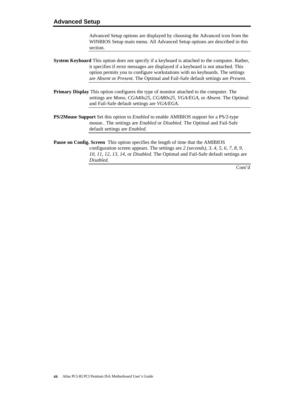Advanced Setup options are displayed by choosing the Advanced icon from the WINBIOS Setup main menu. All Advanced Setup options are described in this section.

- **System Keyboard** This option does not specify if a keyboard is attached to the computer. Rather, it specifies if error messages are displayed if a keyboard is not attached. This option permits you to configure workstations with no keyboards. The settings are *Absent* or *Present.* The Optimal and Fail-Safe default settings are *Present.*
- **Primary Display** This option configures the type of monitor attached to the computer. The settings are *Mono, CGA40x25, CGA80x25, VGA/EGA,* or *Absent*. The Optimal and Fail-Safe default settings are *VGA/EGA.*
- **PS/2Mouse Support** Set this option to *Enabled* to enable AMIBIOS support for a PS/2-type mouse.. The settings are *Enabled* or *Disabled.* The Optimal and Fail-Safe default settings are *Enabled.*
- **Pause on Config. Screen** This option specifies the length of time that the AMIBIOS configuration screen appears. The settings are *2 (seconds), 3, 4, 5, 6, 7, 8, 9, 10, 11, 12, 13, 14,* or *Disabled*. The Optimal and Fail-Safe default settings are *Disabled.*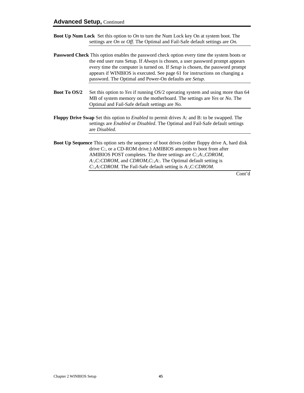- **Boot Up Num Lock** Set this option to *On* to turn the Num Lock key On at system boot. The settings are *On* or *Off.* The Optimal and Fail-Safe default settings are *On.*
- **Password Check** This option enables the password check option every time the system boots or the end user runs Setup. If *Always* is chosen, a user password prompt appears every time the computer is turned on. If *Setup* is chosen, the password prompt appears if WINBIOS is executed. See page 61 for instructions on changing a password. The Optimal and Power-On defaults are *Setup.*
- **Boot To OS/2** Set this option to *Yes* if running OS/2 operating system and using more than 64 MB of system memory on the motherboard. The settings are *Yes* or *No*. The Optimal and Fail-Safe default settings are *No.*
- **Floppy Drive Swap** Set this option to *Enabled* to permit drives A: and B: to be swapped. The settings are *Enabled* or *Disabled*. The Optimal and Fail-Safe default settings are *Disabled.*
- **Boot Up Sequence** This option sets the sequence of boot drives (either floppy drive A, hard disk drive C:, or a CD-ROM drive.) AMIBIOS attempts to boot from after AMIBIOS POST completes. The three settings are *C:,A:,CDROM*, *A:,C:CDROM,* and *CDROM,C:,A:.* The Optimal default setting is *C:,A:CDROM.* The Fail-Safe default setting is *A:,C:CDROM.*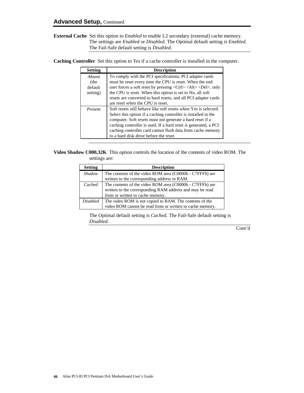**External Cache** Set this option to *Enabled* to enable L2 secondary (external) cache memory. The settings are *Enabled* or *Disabled.* The Optimal default setting is *Enabled.* The Fail-Safe default setting is *Disabled.*

**Caching Controller** Set this option to *Yes* if a cache controller is installed in the computer.

| <b>Setting</b> | <b>Description</b>                                                                                   |
|----------------|------------------------------------------------------------------------------------------------------|
| Absent         | To comply with the PCI specifications, PCI adapter cards                                             |
| (the           | must be reset every time the CPU is reset. When the end                                              |
| default        | user forces a soft reset by pressing $\langle Ctr  > \langle A t \rangle \langle Del \rangle$ , only |
| setting)       | the CPU is reset. When this option is set to No, all soft                                            |
|                | resets are converted to hard resets, and all PCI adapter cards                                       |
|                | are reset when the CPU is reset.                                                                     |
| Present        | Soft resets still behave like soft resets when Yes is selected.                                      |
|                | Select this option if a caching controller is installed in the                                       |
|                | computer. Soft resets must not generate a hard reset if a                                            |
|                | caching controller is used. If a hard reset is generated, a PCI                                      |
|                | caching controller card cannot flush data from cache memory                                          |
|                | to a hard disk drive before the reset.                                                               |

**Video Shadow C000,32K** This option controls the location of the contents of video ROM. The settings are:

| <b>Setting</b>  | <b>Description</b>                                        |
|-----------------|-----------------------------------------------------------|
| Shadow          | The contents of the video ROM area (C0000h - C7FFFh) are  |
|                 | written to the corresponding address in RAM.              |
| Cached          | The contents of the video ROM area (C0000h - C7FFFh) are  |
|                 | written to the corresponding RAM address and may be read  |
|                 | from or written to cache memory.                          |
| <b>Disabled</b> | The video ROM is not copied to RAM. The contents of the   |
|                 | video ROM cannot be read from or written to cache memory. |

The Optimal default setting is *Cached.* The Fail-Safe default setting is *Disabled.*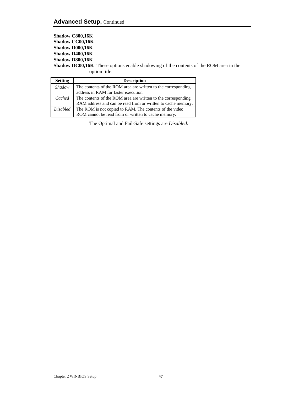**Shadow C800,16K Shadow CC00,16K Shadow D000,16K Shadow D400,16K Shadow D800,16K Shadow DC00,16K** These options enable shadowing of the contents of the ROM area in the option title.

| <b>Setting</b>  | <b>Description</b>                                            |
|-----------------|---------------------------------------------------------------|
| <b>Shadow</b>   | The contents of the ROM area are written to the corresponding |
|                 | address in RAM for faster execution.                          |
| Cached          | The contents of the ROM area are written to the corresponding |
|                 | RAM address and can be read from or written to cache memory.  |
| <i>Disabled</i> | The ROM is not copied to RAM. The contents of the video       |
|                 | ROM cannot be read from or written to cache memory.           |

The Optimal and Fail-Safe settings are *Disabled.*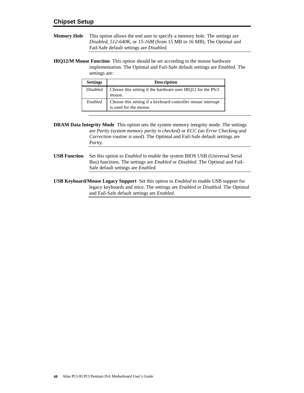**Memory Hole** This option allows the end user to specify a memory hole. The settings are *Disabled, 512-640K,* or *15-16M* (from 15 MB to 16 MB). The Optimal and Fail-Safe default settings are *Disabled.*

**IRQ12/M Mouse Function** This option should be set according to the mouse hardware implementation. The Optimal and Fail-Safe default settings are *Enabled.* The settings are:

| <b>Settings</b> | <b>Description</b>                                                                     |
|-----------------|----------------------------------------------------------------------------------------|
| <i>Disabled</i> | Choose this setting if the hardware uses IRQ12 for the PS/2<br>mouse.                  |
| Enabled         | Choose this setting if a keyboard controller mouse interrupt<br>is used for the mouse. |

**DRAM Data Integrity Mode** This option sets the system memory integrity mode. The settings are *Parity (system memory parity is checked)* or *ECC (an Error Checking and Correction routine is used).* The Optimal and Fail-Safe default settings are *Parity.*

- **USB Function** Set this option to *Enabled* to enable the system BIOS USB (Universal Serial Bus) functions. The settings are *Enabled* or *Disabled.* The Optimal and Fail-Safe default settings are *Enabled.*
- **USB Keyboard/Mouse Legacy Support** Set this option to *Enabled* to enable USB support for legacy keyboards and mice. The settings are *Enabled* or *Disabled.* The Optimal and Fail-Safe default settings are *Enabled.*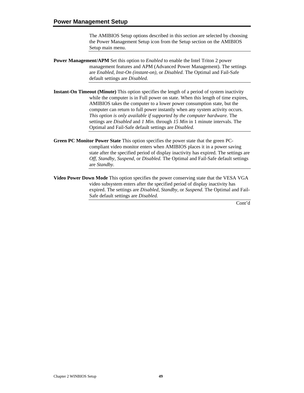The AMIBIOS Setup options described in this section are selected by choosing the Power Management Setup icon from the Setup section on the AMIBIOS Setup main menu.

- **Power Management/APM** Set this option to *Enabled* to enable the Intel Triton 2 power management features and APM (Advanced Power Management). The settings are *Enabled, Inst-On (instant-on),* or *Disabled.* The Optimal and Fail-Safe default settings are *Disabled.*
- **Instant-On Timeout (Minute)** This option specifies the length of a period of system inactivity while the computer is in Full power on state. When this length of time expires, AMIBIOS takes the computer to a lower power consumption state, but the computer can return to full power instantly when any system activity occurs. *This option is only available if supported by the computer hardware.* The settings are *Disabled* and *1 Min.* through *15 Min* in 1 minute intervals. The Optimal and Fail-Safe default settings are *Disabled.*
- **Green PC Monitor Power State** This option specifies the power state that the green PCcompliant video monitor enters when AMIBIOS places it in a power saving state after the specified period of display inactivity has expired. The settings are *Off, Standby, Suspend,* or *Disabled.* The Optimal and Fail-Safe default settings are *Standby.*
- **Video Power Down Mode** This option specifies the power conserving state that the VESA VGA video subsystem enters after the specified period of display inactivity has expired. The settings are *Disabled, Standby,* or *Suspend.* The Optimal and Fail-Safe default settings are *Disabled.*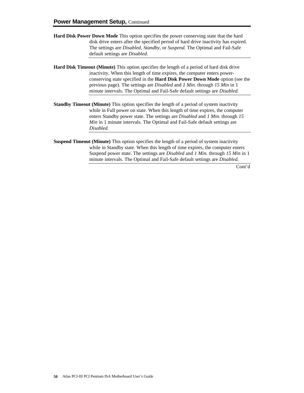- **Hard Disk Power Down Mode** This option specifies the power conserving state that the hard disk drive enters after the specified period of hard drive inactivity has expired. The settings are *Disabled, Standby,* or *Suspend.* The Optimal and Fail-Safe default settings are *Disabled.*
- **Hard Disk Timeout (Minute)** This option specifies the length of a period of hard disk drive inactivity. When this length of time expires, the computer enters powerconserving state specified in the **Hard Disk Power Down Mode** option (see the previous page). The settings are *Disabled* and *1 Min.* through *15 Min* in 1 minute intervals. The Optimal and Fail-Safe default settings are *Disabled.*
- **Standby Timeout (Minute)** This option specifies the length of a period of system inactivity while in Full power on state. When this length of time expires, the computer enters Standby power state. The settings are *Disabled* and *1 Min.* through *15 Min* in 1 minute intervals. The Optimal and Fail-Safe default settings are *Disabled.*
- **Suspend Timeout (Minute)** This option specifies the length of a period of system inactivity while in Standby state. When this length of time expires, the computer enters Suspend power state. The settings are *Disabled* and *1 Min.* through *15 Min* in 1 minute intervals. The Optimal and Fail-Safe default settings are *Disabled.*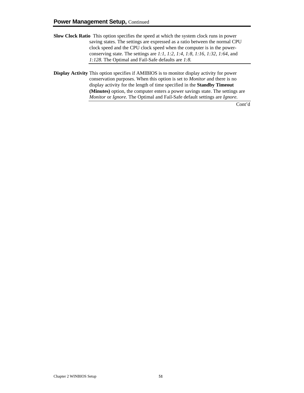- **Slow Clock Ratio** This option specifies the speed at which the system clock runs in power saving states. The settings are expressed as a ratio between the normal CPU clock speed and the CPU clock speed when the computer is in the powerconserving state. The settings are *1:1, 1:2, 1:4, 1:8, 1:16, 1:32, 1:64,* and *1:128.* The Optimal and Fail-Safe defaults are *1:8.*
- **Display Activity** This option specifies if AMIBIOS is to monitor display activity for power conservation purposes. When this option is set to *Monitor* and there is no display activity for the length of time specified in the **Standby Timeout (Minutes)** option, the computer enters a power savings state. The settings are *Monitor* or *Ignore.* The Optimal and Fail-Safe default settings are *Ignore.*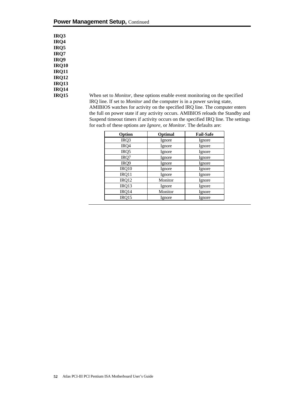| <b>IRO3</b>  |
|--------------|
| IRQ4         |
| <b>IRO5</b>  |
| IRQ7         |
| IRQ9         |
| <b>IRQ10</b> |
| <b>IRQ11</b> |
| <b>IRQ12</b> |
| <b>IRQ13</b> |
| <b>IRQ14</b> |
| <b>IRQ15</b> |

**IRC** When set to *Monitor*, these options enable event monitoring on the specified IRQ line. If set to *Monitor* and the computer is in a power saving state, AMIBIOS watches for activity on the specified IRQ line. The computer enters the full on power state if any activity occurs. AMIBIOS reloads the Standby and Suspend timeout timers if activity occurs on the specified IRQ line. The settings for each of these options are *Ignore,* or *Monitor.* The defaults are:

| Option | Optimal | <b>Fail-Safe</b> |
|--------|---------|------------------|
| IRQ3   | Ignore  | Ignore           |
| IRQ4   | Ignore  | Ignore           |
| IRQ5   | Ignore  | Ignore           |
| IRQ7   | Ignore  | Ignore           |
| IRQ9   | Ignore  | Ignore           |
| IRQ10  | Ignore  | Ignore           |
| IRQ11  | Ignore  | Ignore           |
| IRQ12  | Monitor | Ignore           |
| IRQ13  | Ignore  | Ignore           |
| IRQ14  | Monitor | Ignore           |
| IRO15  | Ignore  | Ignore           |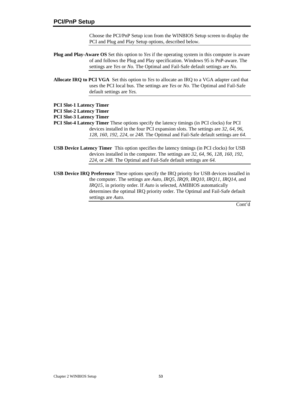Choose the PCI/PnP Setup icon from the WINBIOS Setup screen to display the PCI and Plug and Play Setup options, described below.

- **Plug and Play-Aware OS** Set this option to *Yes* if the operating system in this computer is aware of and follows the Plug and Play specification. Windows 95 is PnP-aware. The settings are *Yes* or *No.* The Optimal and Fail-Safe default settings are *No.*
- **Allocate IRQ to PCI VGA** Set this option to *Yes* to allocate an IRQ to a VGA adapter card that uses the PCI local bus. The settings are *Yes* or *No.* The Optimal and Fail-Safe default settings are *Yes.*
- **PCI Slot-1 Latency Timer**
- **PCI Slot-2 Latency Timer**
- **PCI Slot-3 Latency Timer**
- **PCI Slot-4 Latency Timer** These options specify the latency timings (in PCI clocks) for PCI devices installed in the four PCI expansion slots. The settings are *32, 64, 96, 128, 160, 192, 224,* or *248.* The Optimal and Fail-Safe default settings are *64.*
- **USB Device Latency Timer** This option specifies the latency timings (in PCI clocks) for USB devices installed in the computer. The settings are *32, 64, 96, 128, 160, 192, 224,* or *248.* The Optimal and Fail-Safe default settings are *64.*
- **USB Device IRQ Preference** These options specify the IRQ priority for USB devices installed in the computer. The settings are *Auto, IRQ5, IRQ9, IRQ10, IRQ11, IRQ14,* and *IRQ15,* in priority order. If *Auto* is selected, AMIBIOS automatically determines the optimal IRQ priority order. The Optimal and Fail-Safe default settings are *Auto.*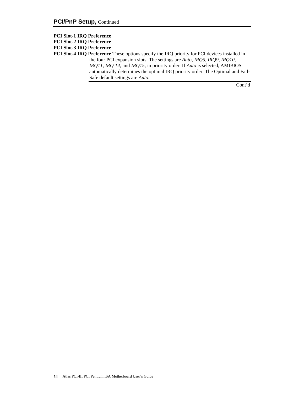- **PCI Slot-1 IRQ Preference**
- **PCI Slot-2 IRQ Preference**
- **PCI Slot-3 IRQ Preference**

**PCI Slot-4 IRQ Preference** These options specify the IRQ priority for PCI devices installed in the four PCI expansion slots. The settings are *Auto, IRQ5, IRQ9, IRQ10, IRQ11, IRQ 14,* and *IRQ15,* in priority order. If *Auto* is selected, AMIBIOS automatically determines the optimal IRQ priority order. The Optimal and Fail-Safe default settings are *Auto.*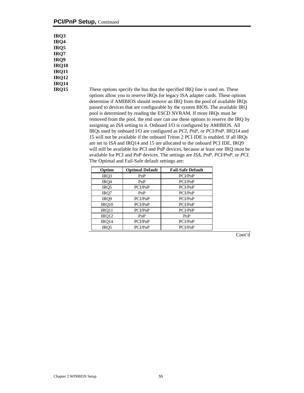#### **PCI/PnP Setup, Continued**

| IRQ3         |
|--------------|
| <b>IRO4</b>  |
| IRQ5         |
| <b>IRO7</b>  |
| IRQ9         |
| <b>IRQ10</b> |
| <b>IRQ11</b> |
| <b>IRQ12</b> |
| <b>IRQ14</b> |
| <b>IRQ15</b> |

These options specify the bus that the specified IRQ line is used on. These options allow you to reserve IRQs for legacy ISA adapter cards. These options determine if AMIBIOS should remove an IRQ from the pool of available IRQs passed to devices that are configurable by the system BIOS. The available IRQ pool is determined by reading the ESCD NVRAM. If more IRQs must be removed from the pool, the end user can use these options to reserve the IRQ by assigning an *ISA* setting to it. Onboard I/O is configured by AMIBIOS. All IRQs used by onboard I/O are configured as *PCI, PnP,* or *PCI/PnP.* IRQ14 and 15 will not be available if the onboard Triton 2 PCI IDE is enabled. If all IRQs are set to *ISA* and IRQ14 and 15 are allocated to the onboard PCI IDE, IRQ9 will still be available for PCI and PnP devices, because at least one IRQ must be available for PCI and PnP devices. The settings are *ISA, PnP, PCI/PnP,* or *PCI.* The Optimal and Fail-Safe default settings are:

| Option           | <b>Optimal Default</b> | <b>Fail-Safe Default</b> |
|------------------|------------------------|--------------------------|
| IRQ3             | PnP                    | PCI/PnP                  |
| IRQ4             | PnP                    | PCI/PnP                  |
| IRQ5             | PCI/PnP                | PCI/PnP                  |
| IRO7             | PnP                    | PCI/PnP                  |
| IRQ9             | PCI/PnP                | PCI/PnP                  |
| IRQ10            | PCI/PnP                | PCI/PnP                  |
| IRO11            | PCI/PnP                | PCI/PnP                  |
| IRQ12            | PnP                    | PnP                      |
| IRQ14            | PCI/PnP                | PCI/PnP                  |
| IR <sub>O5</sub> | PCI/PnP                | PCI/PnP                  |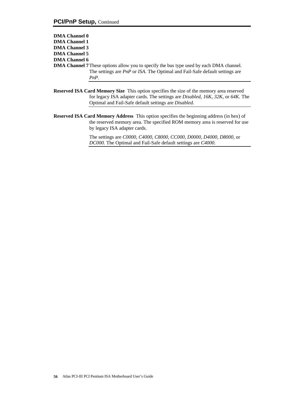| <b>DMA Channel 0</b> |                                                                                                |
|----------------------|------------------------------------------------------------------------------------------------|
| <b>DMA Channel 1</b> |                                                                                                |
| <b>DMA Channel 3</b> |                                                                                                |
| <b>DMA Channel 5</b> |                                                                                                |
| <b>DMA Channel 6</b> |                                                                                                |
|                      | <b>DMA Channel 7</b> These options allow you to specify the bus type used by each DMA channel. |
|                      | The settings are <i>PnP</i> or <i>ISA</i> . The Optimal and Fail-Safe default settings are     |
|                      | $PnP$ .                                                                                        |
|                      |                                                                                                |

- **Reserved ISA Card Memory Size** This option specifies the size of the memory area reserved for legacy ISA adapter cards. The settings are *Disabled, 16K, 32K,* or *64K.* The Optimal and Fail-Safe default settings are *Disabled.*
- **Reserved ISA Card Memory Address** This option specifies the beginning address (in hex) of the reserved memory area. The specified ROM memory area is reserved for use by legacy ISA adapter cards.

The settings are *C0000, C4000, C8000, CC000, D0000, D4000, D8000,* or *DC000.* The Optimal and Fail-Safe default settings are *C4000.*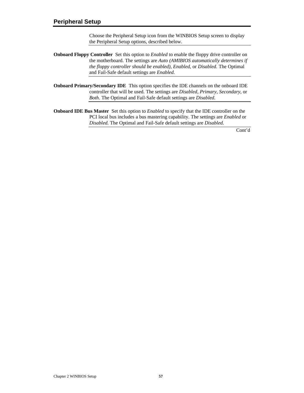Choose the Peripheral Setup icon from the WINBIOS Setup screen to display the Peripheral Setup options, described below.

- **Onboard Floppy Controller** Set this option to *Enabled* to enable the floppy drive controller on the motherboard. The settings are *Auto (AMIBIOS automatically determines if the floppy controller should be enabled), Enabled,* or *Disabled.* The Optimal and Fail-Safe default settings are *Enabled.*
- **Onboard Primary/Secondary IDE** This option specifies the IDE channels on the onboard IDE controller that will be used. The settings are *Disabled, Primary, Secondary,* or *Both.* The Optimal and Fail-Safe default settings are *Disabled.*
- **Onboard IDE Bus Master** Set this option to *Enabled* to specify that the IDE controller on the PCI local bus includes a bus mastering capability. The settings are *Enabled* or *Disabled.* The Optimal and Fail-Safe default settings are *Disabled.*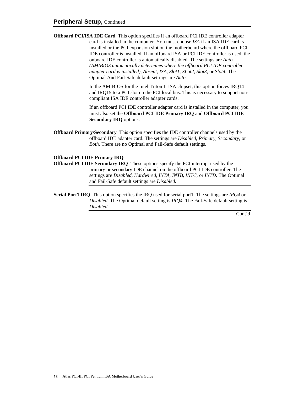**Offboard PCI/ISA IDE Card** This option specifies if an offboard PCI IDE controller adapter card is installed in the computer. You must choose *ISA* if an ISA IDE card is installed or the PCI expansion slot on the motherboard where the offboard PCI IDE controller is installed. If an offboard ISA or PCI IDE controller is used, the onboard IDE controller is automatically disabled. The settings are *Auto (AMIBIOS automatically determines where the offboard PCI IDE controller adapter card is installed), Absent, ISA, Slot1, SLot2, Slot3,* or *Slot4.* The Optimal And Fail-Safe default settings are *Auto.*

> In the AMIBIOS for the Intel Triton II ISA chipset, this option forces IRQ14 and IRQ15 to a PCI slot on the PCI local bus. This is necessary to support noncompliant ISA IDE controller adapter cards.

> If an offboard PCI IDE controller adapter card is installed in the computer, you must also set the **Offboard PCI IDE Primary IRQ** and **Offboard PCI IDE Secondary IRQ** options.

**Offboard Primary/Secondary** This option specifies the IDE controller channels used by the offboard IDE adapter card. The settings are *Disabled, Primary, Secondary,* or *Both.* There are no Optimal and Fail-Safe default settings.

#### **Offboard PCI IDE Primary IRQ**

**Offboard PCI IDE Secondary IRQ** These options specify the PCI interrupt used by the primary or secondary IDE channel on the offboard PCI IDE controller. The settings are *Disabled, Hardwired, INTA, INTB, INTC,* or *INTD.* The Optimal and Fail-Safe default settings are *Disabled.*

**Serial Port1 IRQ** This option specifies the IRQ used for serial port1. The settings are *IRQ4* or *Disabled.* The Optimal default setting is *IRQ4.* The Fail-Safe default setting is *Disabled.*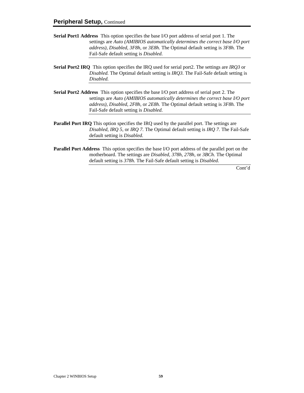- **Serial Port1 Address** This option specifies the base I/O port address of serial port 1. The settings are *Auto (AMIBIOS automatically determines the correct base I/O port address), Disabled, 3F8h,* or *3E8h.* The Optimal default setting is *3F8h.* The Fail-Safe default setting is *Disabled.*
- **Serial Port2 IRQ** This option specifies the IRQ used for serial port2. The settings are *IRQ3* or *Disabled.* The Optimal default setting is *IRQ3.* The Fail-Safe default setting is *Disabled.*
- **Serial Port2 Address** This option specifies the base I/O port address of serial port 2. The settings are *Auto (AMIBIOS automatically determines the correct base I/O port address), Disabled, 2F8h,* or *2E8h.* The Optimal default setting is *3F8h.* The Fail-Safe default setting is *Disabled.*
- **Parallel Port IRQ** This option specifies the IRQ used by the parallel port. The settings are *Disabled, IRQ 5,* or *IRQ 7.* The Optimal default setting is *IRQ 7.* The Fail-Safe default setting is *Disabled.*
- **Parallel Port Address** This option specifies the base I/O port address of the parallel port on the motherboard. The settings are *Disabled, 378h, 278h,* or *3BCh.* The Optimal default setting is *378h.* The Fail-Safe default setting is *Disabled.*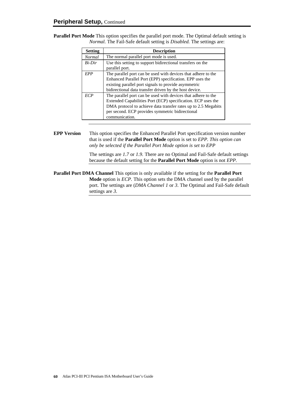**Parallel Port Mode** This option specifies the parallel port mode. The Optimal default setting is *Normal.* The Fail-Safe default setting is *Disabled.* The settings are:

| <b>Setting</b> | <b>Description</b>                                                                                                                                                                                                                                                    |
|----------------|-----------------------------------------------------------------------------------------------------------------------------------------------------------------------------------------------------------------------------------------------------------------------|
| <b>Normal</b>  | The normal parallel port mode is used.                                                                                                                                                                                                                                |
| $Bi-Dir$       | Use this setting to support bidirectional transfers on the<br>parallel port.                                                                                                                                                                                          |
| <b>FPP</b>     | The parallel port can be used with devices that adhere to the<br>Enhanced Parallel Port (EPP) specification. EPP uses the<br>existing parallel port signals to provide asymmetric<br>bidirectional data transfer driven by the host device.                           |
| <i>ECP</i>     | The parallel port can be used with devices that adhere to the<br>Extended Capabilities Port (ECP) specification. ECP uses the<br>DMA protocol to achieve data transfer rates up to 2.5 Megabits<br>per second. ECP provides symmetric bidirectional<br>communication. |

#### **EPP Version** This option specifies the Enhanced Parallel Port specification version number that is used if the **Parallel Port Mode** option is set to *EPP. This option can only be selected if the Parallel Port Mode option is set to EPP*

The settings are *1.7* or *1.9.* There are no Optimal and Fail-Safe default settings because the default setting for the **Parallel Port Mode** option is not *EPP.*

**Parallel Port DMA Channel** This option is only available if the setting for the **Parallel Port Mode** option is *ECP.* This option sets the DMA channel used by the parallel port. The settings are (*DMA Channel 1* or *3*. The Optimal and Fail-Safe default settings are *3.*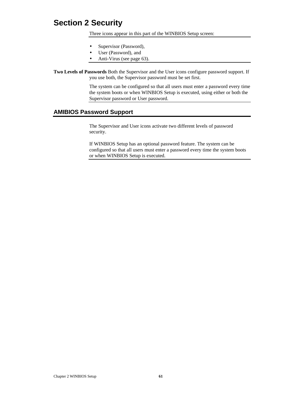## **Section 2 Security**

Three icons appear in this part of the WINBIOS Setup screen:

- Supervisor (Password),
- User (Password), and
- Anti-Virus (see page 63).

**Two Levels of Passwords** Both the Supervisor and the User icons configure password support. If you use both, the Supervisor password must be set first.

> The system can be configured so that all users must enter a password every time the system boots or when WINBIOS Setup is executed, using either or both the Supervisor password or User password.

### **AMIBIOS Password Support**

The Supervisor and User icons activate two different levels of password security.

If WINBIOS Setup has an optional password feature. The system can be configured so that all users must enter a password every time the system boots or when WINBIOS Setup is executed.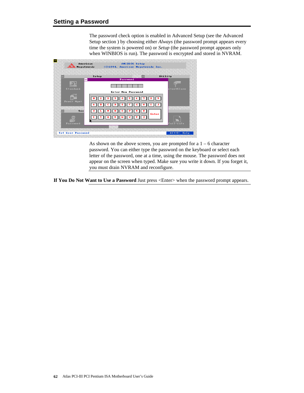The password check option is enabled in Advanced Setup (see the Advanced Setup section ) by choosing either *Always* (the password prompt appears every time the system is powered on) or *Setup* (the password prompt appears only when WINBIOS is run). The password is encrypted and stored in NVRAM.



As shown on the above screen, you are prompted for a  $1 - 6$  character password. You can either type the password on the keyboard or select each letter of the password, one at a time, using the mouse. The password does not appear on the screen when typed. Make sure you write it down. If you forget it, you must drain NVRAM and reconfigure.

**If You Do Not Want to Use a Password** Just press <Enter> when the password prompt appears.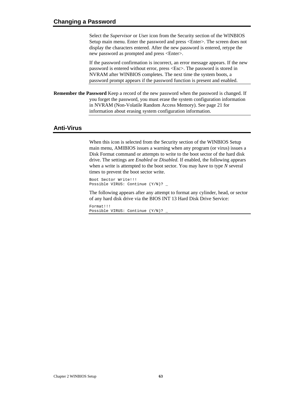Select the *Supervisor* or *Use*r icon from the Security section of the WINBIOS Setup main menu. Enter the password and press <Enter>. The screen does not display the characters entered. After the new password is entered, retype the new password as prompted and press <Enter>.

If the password confirmation is incorrect, an error message appears. If the new password is entered without error, press <Esc>. The password is stored in NVRAM after WINBIOS completes. The next time the system boots, a password prompt appears if the password function is present and enabled.

**Remember the Password** Keep a record of the new password when the password is changed. If you forget the password, you must erase the system configuration information in NVRAM (Non-Volatile Random Access Memory). See page 21 for information about erasing system configuration information.

#### **Anti-Virus**

When this icon is selected from the Security section of the WINBIOS Setup main menu, AMIBIOS issues a warning when any program (or virus) issues a Disk Format command or attempts to write to the boot sector of the hard disk drive. The settings are *Enabled* or *Disabled.* If enabled, the following appears when a write is attempted to the boot sector. You may have to type *N* several times to prevent the boot sector write.

Boot Sector Write!!! Possible VIRUS: Continue (Y/N)? \_

The following appears after any attempt to format any cylinder, head, or sector of any hard disk drive via the BIOS INT 13 Hard Disk Drive Service:

Format!!! Possible VIRUS: Continue (Y/N)? \_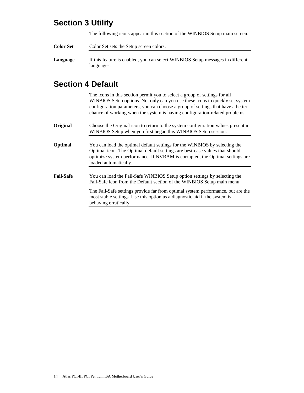## **Section 3 Utility**

The following icons appear in this section of the WINBIOS Setup main screen:

| <b>Color Set</b> | Color Set sets the Setup screen colors.                                                      |  |
|------------------|----------------------------------------------------------------------------------------------|--|
| Language         | If this feature is enabled, you can select WINBIOS Setup messages in different<br>languages. |  |

## **Section 4 Default**

|                  | The icons in this section permit you to select a group of settings for all<br>WINBIOS Setup options. Not only can you use these icons to quickly set system<br>configuration parameters, you can choose a group of settings that have a better<br>chance of working when the system is having configuration-related problems. |
|------------------|-------------------------------------------------------------------------------------------------------------------------------------------------------------------------------------------------------------------------------------------------------------------------------------------------------------------------------|
| Original         | Choose the Original icon to return to the system configuration values present in<br>WINBIOS Setup when you first began this WINBIOS Setup session.                                                                                                                                                                            |
| <b>Optimal</b>   | You can load the optimal default settings for the WINBIOS by selecting the<br>Optimal icon. The Optimal default settings are best-case values that should<br>optimize system performance. If NVRAM is corrupted, the Optimal settings are<br>loaded automatically.                                                            |
| <b>Fail-Safe</b> | You can load the Fail-Safe WINBIOS Setup option settings by selecting the<br>Fail-Safe icon from the Default section of the WINBIOS Setup main menu.                                                                                                                                                                          |
|                  | The Fail-Safe settings provide far from optimal system performance, but are the<br>most stable settings. Use this option as a diagnostic aid if the system is<br>behaving erratically.                                                                                                                                        |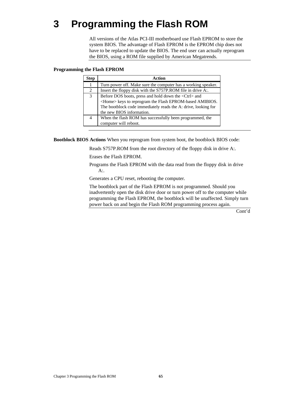# **3 Programming the Flash ROM**

All versions of the Atlas PCI-III motherboard use Flash EPROM to store the system BIOS. The advantage of Flash EPROM is the EPROM chip does not have to be replaced to update the BIOS. The end user can actually reprogram the BIOS, using a ROM file supplied by American Megatrends.

#### **Programming the Flash EPROM**

| <b>Step</b> | Action                                                         |
|-------------|----------------------------------------------------------------|
| 1           | Turn power off. Make sure the computer has a working speaker.  |
| 2           | Insert the floppy disk with the S757P.ROM file in drive A:.    |
| 3           | Before DOS boots, press and hold down the <ctrl> and</ctrl>    |
|             | <home> keys to reprogram the Flash EPROM-based AMIBIOS.</home> |
|             | The bootblock code immediately reads the A: drive, looking for |
|             | the new BIOS information.                                      |
| 4           | When the flash ROM has successfully been programmed, the       |
|             | computer will reboot.                                          |

**Bootblock BIOS Actions** When you reprogram from system boot, the bootblock BIOS code:

Reads S757P.ROM from the root directory of the floppy disk in drive A:.

Erases the Flash EPROM.

Programs the Flash EPROM with the data read from the floppy disk in drive A:.

Generates a CPU reset, rebooting the computer.

The bootblock part of the Flash EPROM is not programmed. Should you inadvertently open the disk drive door or turn power off to the computer while programming the Flash EPROM, the bootblock will be unaffected. Simply turn power back on and begin the Flash ROM programming process again.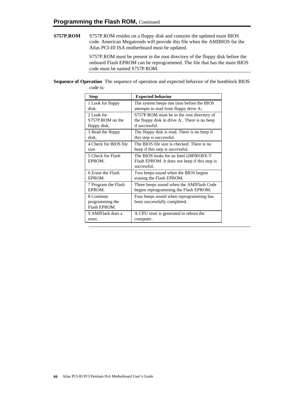**S757P.ROM** S757P.ROM resides on a floppy disk and contains the updated main BIOS code. American Megatrends will provide this file when the AMIBIOS for the Atlas PCI-III ISA motherboard must be updated.

> S757P.ROM must be present in the root directory of the floppy disk before the onboard Flash EPROM can be reprogrammed. The file that has the main BIOS code must be named S757P.ROM.

**Sequence of Operation** The sequence of operation and expected behavior of the bootblock BIOS code is:

| <b>Step</b>                                   | <b>Expected behavior</b>                                                                                |
|-----------------------------------------------|---------------------------------------------------------------------------------------------------------|
| 1 Look for floppy                             | The system beeps one time before the BIOS                                                               |
| disk.                                         | attempts to read from floppy drive A:.                                                                  |
| 2 Look for                                    | S757P.ROM must be in the root directory of                                                              |
| S757P.ROM on the                              | the floppy disk in drive A:. There is no beep                                                           |
| floppy disk.                                  | if successful.                                                                                          |
| 3 Read the floppy                             | The floppy disk is read. There is no beep if                                                            |
| disk.                                         | this step is successful.                                                                                |
| 4 Check for BIOS file                         | The BIOS file size is checked. There is no                                                              |
| size.                                         | beep if this step is successful.                                                                        |
| 5 Check for Flash<br>EPROM.                   | The BIOS looks for an Intel i28F001BX-T<br>Flash EPROM. It does not beep if this step is<br>successful. |
| 6 Erase the Flash                             | Two beeps sound when the BIOS begins                                                                    |
| EPROM.                                        | erasing the Flash EPROM.                                                                                |
| 7 Program the Flash                           | Three beeps sound when the AMIFlash Code                                                                |
| EPROM.                                        | begins reprogramming the Flash EPROM.                                                                   |
| 8 Continue<br>programming the<br>Flash EPROM. | Four beeps sound when reprogramming has<br>been successfully completed.                                 |
| 9 AMIFlash does a                             | A CPU reset is generated to reboot the                                                                  |
| reset.                                        | computer.                                                                                               |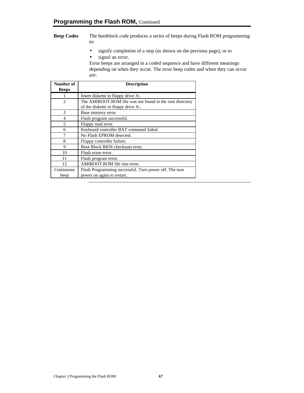#### **Beep Codes** The bootblock code produces a series of beeps during Flash ROM programming to:

• signify completion of a step (as shown on the previous page), or to • signal an error.

Error beeps are arranged in a coded sequence and have different meanings depending on when they occur. The error beep codes and when they can occur are:

| Number of      | <b>Description</b>                                       |
|----------------|----------------------------------------------------------|
| <b>Beeps</b>   |                                                          |
|                | Insert diskette in floppy drive A:.                      |
| $\overline{c}$ | The AMIBOOT.ROM file was not found in the root directory |
|                | of the diskette in floppy drive A:.                      |
| $\mathcal{R}$  | Base memory error.                                       |
| $\overline{4}$ | Flash program successful.                                |
| 5              | Floppy read error.                                       |
| 6              | Keyboard controller BAT command failed.                  |
|                | No Flash EPROM detected.                                 |
| 8              | Floppy controller failure.                               |
| 9              | Boot Block BIOS checksum error.                          |
| 10             | Flash erase error.                                       |
| 11             | Flash program error.                                     |
| 12             | AMIBOOT.ROM file size error.                             |
| Continuous     | Flash Programming successful. Turn power off. The turn   |
| beep           | power on again to restart.                               |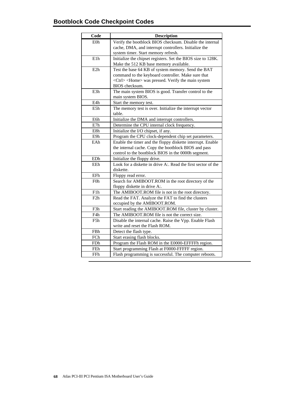| Code             | <b>Description</b>                                              |
|------------------|-----------------------------------------------------------------|
| E <sub>0</sub> h | Verify the bootblock BIOS checksum. Disable the internal        |
|                  | cache, DMA, and interrupt controllers. Initialize the           |
|                  | system timer. Start memory refresh.                             |
| E <sub>1</sub> h | Initialize the chipset registers. Set the BIOS size to 128K.    |
|                  | Make the 512 KB base memory available.                          |
| E2h              | Test the base 64 KB of system memory. Send the BAT              |
|                  | command to the keyboard controller. Make sure that              |
|                  | <ctrl> <home> was pressed. Verify the main system</home></ctrl> |
|                  | BIOS checksum.                                                  |
| E3h              | The main system BIOS is good. Transfer control to the           |
|                  | main system BIOS.                                               |
| E4h              | Start the memory test.                                          |
| E5h              | The memory test is over. Initialize the interrupt vector        |
|                  | table.                                                          |
| E6h              | Initialize the DMA and interrupt controllers.                   |
| E7h              | Determine the CPU internal clock frequency.                     |
| E8h              | Initialize the I/O chipset, if any.                             |
| E9h              | Program the CPU clock-dependent chip set parameters.            |
| EAh              | Enable the timer and the floppy diskette interrupt. Enable      |
|                  | the internal cache. Copy the bootblock BIOS and pass            |
|                  | control to the bootblock BIOS in the 0000h segment.             |
| EDh              | Initialize the floppy drive.                                    |
| EEh              | Look for a diskette in drive A:. Read the first sector of the   |
|                  | diskette.                                                       |
| EFh              | Floppy read error.                                              |
| F <sub>0</sub> h | Search for AMIBOOT.ROM in the root directory of the             |
|                  | floppy diskette in drive A:.                                    |
| F1h              | The AMIBOOT.ROM file is not in the root directory.              |
| F2h              | Read the FAT. Analyze the FAT to find the clusters              |
|                  | occupied by the AMIBOOT.ROM.                                    |
| F3h              | Start reading the AMIBOOT.ROM file, cluster by cluster.         |
| F4h              | The AMIBOOT.ROM file is not the correct size.                   |
| F5h              | Disable the internal cache. Raise the Vpp. Enable Flash         |
|                  | write and reset the Flash ROM.                                  |
| FBh              | Detect the flash type.                                          |
| FCh              | Start erasing flash blocks.                                     |
| FDh              | Program the Flash ROM in the E0000-EFFFFh region.               |
| FEh              | Start programming Flash at F0000-FFFFF region.                  |
| FFh              | Flash programming is successful. The computer reboots.          |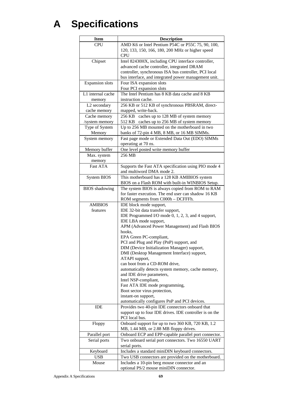# **A Specifications**

| <b>CPU</b><br>AMD K6 or Intel Pentium P54C or P55C 75, 90, 100,<br>120, 133, 150, 166, 180, 200 MHz or higher speed<br><b>CPU</b><br>Intel 82430HX, including CPU interface controller,<br>Chipset<br>advanced cache controller, integrated DRAM<br>controller, synchronous ISA bus controller, PCI local<br>bus interface, and integrated power management unit.<br>Four ISA expansion slots<br><b>Expansion</b> slots<br>Four PCI expansion slots<br>The Intel Pentium has 8 KB data cache and 8 KB<br>L1 internal cache<br>instruction cache.<br>memory<br>L2 secondary<br>256 KB or 512 KB of synchronous PBSRAM, direct-<br>cache memory<br>mapped, write-back.<br>256 KB<br>Cache memory<br>caches up to 128 MB of system memory<br>512 KB caches up to 256 MB of system memory<br>/system memory<br>Up to 256 MB mounted on the motherboard in two<br>Type of System<br>Memory<br>banks of 72-pin 4 MB, 8 MB, or 16 MB SIMMs.<br>Fast page mode or Extended Data Out (EDO) SIMMs<br>System memory<br>operating at 70 ns.<br>One level posted write memory buffer<br>Memory buffer<br>Max. system<br>256 MB<br>memory<br><b>Fast ATA</b><br>Supports the Fast ATA specification using PIO mode 4<br>and multiword DMA mode 2.<br>This motherboard has a 128 KB AMIBIOS system<br><b>System BIOS</b><br>BIOS on a Flash ROM with built-in WINBIOS Setup.<br>The system BIOS is always copied from ROM to RAM<br><b>BIOS</b> shadowing<br>for faster execution. The end user can shadow 16 KB<br>ROM segments from C000h - DCFFFh.<br><b>AMIBIOS</b><br>IDE block mode support,<br>IDE 32-bit data transfer support,<br>features<br>IDE Programmed I/O mode 0, 1, 2, 3, and 4 support,<br>IDE LBA mode support,<br>APM (Advanced Power Management) and Flash BIOS<br>hooks.<br>EPA Green PC-compliant,<br>PCI and Plug and Play (PnP) support, and<br>DIM (Device Initialization Manager) support,<br>DMI (Desktop Management Interface) support,<br>ATAPI support,<br>can boot from a CD-ROM drive,<br>automatically detects system memory, cache memory,<br>and IDE drive parameters,<br>Intel NSP-compliant,<br>Fast ATA IDE mode programming,<br>Boot sector virus protection,<br>instant-on support,<br>automatically configures PnP and PCI devices.<br>Provides two 40-pin IDE connectors onboard that<br>IDE<br>support up to four IDE drives. IDE controller is on the<br>PCI local bus.<br>Onboard support for up to two 360 KB, 720 KB, 1.2<br>Floppy<br>MB, 1.44 MB, or 2.88 MB floppy drives.<br>Onboard ECP and EPP-capable parallel port connector.<br>Parallel port<br>Serial ports<br>Two onboard serial port connectors. Two 16550 UART<br>serial ports.<br>Includes a standard miniDIN keyboard connectors.<br>Keyboard<br><b>USB</b><br>Two USB connectors are provided on the motherboard.<br>Includes a 10-pin berg mouse connector and an<br>Mouse | <b>Item</b> | <b>Description</b>                     |
|-------------------------------------------------------------------------------------------------------------------------------------------------------------------------------------------------------------------------------------------------------------------------------------------------------------------------------------------------------------------------------------------------------------------------------------------------------------------------------------------------------------------------------------------------------------------------------------------------------------------------------------------------------------------------------------------------------------------------------------------------------------------------------------------------------------------------------------------------------------------------------------------------------------------------------------------------------------------------------------------------------------------------------------------------------------------------------------------------------------------------------------------------------------------------------------------------------------------------------------------------------------------------------------------------------------------------------------------------------------------------------------------------------------------------------------------------------------------------------------------------------------------------------------------------------------------------------------------------------------------------------------------------------------------------------------------------------------------------------------------------------------------------------------------------------------------------------------------------------------------------------------------------------------------------------------------------------------------------------------------------------------------------------------------------------------------------------------------------------------------------------------------------------------------------------------------------------------------------------------------------------------------------------------------------------------------------------------------------------------------------------------------------------------------------------------------------------------------------------------------------------------------------------------------------------------------------------------------------------------------------------------------------------------------------------------------------------------------------------------------------------------------------------------------------------------------------------------------------------------------------------|-------------|----------------------------------------|
|                                                                                                                                                                                                                                                                                                                                                                                                                                                                                                                                                                                                                                                                                                                                                                                                                                                                                                                                                                                                                                                                                                                                                                                                                                                                                                                                                                                                                                                                                                                                                                                                                                                                                                                                                                                                                                                                                                                                                                                                                                                                                                                                                                                                                                                                                                                                                                                                                                                                                                                                                                                                                                                                                                                                                                                                                                                                               |             |                                        |
|                                                                                                                                                                                                                                                                                                                                                                                                                                                                                                                                                                                                                                                                                                                                                                                                                                                                                                                                                                                                                                                                                                                                                                                                                                                                                                                                                                                                                                                                                                                                                                                                                                                                                                                                                                                                                                                                                                                                                                                                                                                                                                                                                                                                                                                                                                                                                                                                                                                                                                                                                                                                                                                                                                                                                                                                                                                                               |             |                                        |
|                                                                                                                                                                                                                                                                                                                                                                                                                                                                                                                                                                                                                                                                                                                                                                                                                                                                                                                                                                                                                                                                                                                                                                                                                                                                                                                                                                                                                                                                                                                                                                                                                                                                                                                                                                                                                                                                                                                                                                                                                                                                                                                                                                                                                                                                                                                                                                                                                                                                                                                                                                                                                                                                                                                                                                                                                                                                               |             |                                        |
|                                                                                                                                                                                                                                                                                                                                                                                                                                                                                                                                                                                                                                                                                                                                                                                                                                                                                                                                                                                                                                                                                                                                                                                                                                                                                                                                                                                                                                                                                                                                                                                                                                                                                                                                                                                                                                                                                                                                                                                                                                                                                                                                                                                                                                                                                                                                                                                                                                                                                                                                                                                                                                                                                                                                                                                                                                                                               |             |                                        |
|                                                                                                                                                                                                                                                                                                                                                                                                                                                                                                                                                                                                                                                                                                                                                                                                                                                                                                                                                                                                                                                                                                                                                                                                                                                                                                                                                                                                                                                                                                                                                                                                                                                                                                                                                                                                                                                                                                                                                                                                                                                                                                                                                                                                                                                                                                                                                                                                                                                                                                                                                                                                                                                                                                                                                                                                                                                                               |             |                                        |
|                                                                                                                                                                                                                                                                                                                                                                                                                                                                                                                                                                                                                                                                                                                                                                                                                                                                                                                                                                                                                                                                                                                                                                                                                                                                                                                                                                                                                                                                                                                                                                                                                                                                                                                                                                                                                                                                                                                                                                                                                                                                                                                                                                                                                                                                                                                                                                                                                                                                                                                                                                                                                                                                                                                                                                                                                                                                               |             |                                        |
|                                                                                                                                                                                                                                                                                                                                                                                                                                                                                                                                                                                                                                                                                                                                                                                                                                                                                                                                                                                                                                                                                                                                                                                                                                                                                                                                                                                                                                                                                                                                                                                                                                                                                                                                                                                                                                                                                                                                                                                                                                                                                                                                                                                                                                                                                                                                                                                                                                                                                                                                                                                                                                                                                                                                                                                                                                                                               |             |                                        |
|                                                                                                                                                                                                                                                                                                                                                                                                                                                                                                                                                                                                                                                                                                                                                                                                                                                                                                                                                                                                                                                                                                                                                                                                                                                                                                                                                                                                                                                                                                                                                                                                                                                                                                                                                                                                                                                                                                                                                                                                                                                                                                                                                                                                                                                                                                                                                                                                                                                                                                                                                                                                                                                                                                                                                                                                                                                                               |             |                                        |
|                                                                                                                                                                                                                                                                                                                                                                                                                                                                                                                                                                                                                                                                                                                                                                                                                                                                                                                                                                                                                                                                                                                                                                                                                                                                                                                                                                                                                                                                                                                                                                                                                                                                                                                                                                                                                                                                                                                                                                                                                                                                                                                                                                                                                                                                                                                                                                                                                                                                                                                                                                                                                                                                                                                                                                                                                                                                               |             |                                        |
|                                                                                                                                                                                                                                                                                                                                                                                                                                                                                                                                                                                                                                                                                                                                                                                                                                                                                                                                                                                                                                                                                                                                                                                                                                                                                                                                                                                                                                                                                                                                                                                                                                                                                                                                                                                                                                                                                                                                                                                                                                                                                                                                                                                                                                                                                                                                                                                                                                                                                                                                                                                                                                                                                                                                                                                                                                                                               |             |                                        |
|                                                                                                                                                                                                                                                                                                                                                                                                                                                                                                                                                                                                                                                                                                                                                                                                                                                                                                                                                                                                                                                                                                                                                                                                                                                                                                                                                                                                                                                                                                                                                                                                                                                                                                                                                                                                                                                                                                                                                                                                                                                                                                                                                                                                                                                                                                                                                                                                                                                                                                                                                                                                                                                                                                                                                                                                                                                                               |             |                                        |
|                                                                                                                                                                                                                                                                                                                                                                                                                                                                                                                                                                                                                                                                                                                                                                                                                                                                                                                                                                                                                                                                                                                                                                                                                                                                                                                                                                                                                                                                                                                                                                                                                                                                                                                                                                                                                                                                                                                                                                                                                                                                                                                                                                                                                                                                                                                                                                                                                                                                                                                                                                                                                                                                                                                                                                                                                                                                               |             |                                        |
|                                                                                                                                                                                                                                                                                                                                                                                                                                                                                                                                                                                                                                                                                                                                                                                                                                                                                                                                                                                                                                                                                                                                                                                                                                                                                                                                                                                                                                                                                                                                                                                                                                                                                                                                                                                                                                                                                                                                                                                                                                                                                                                                                                                                                                                                                                                                                                                                                                                                                                                                                                                                                                                                                                                                                                                                                                                                               |             |                                        |
|                                                                                                                                                                                                                                                                                                                                                                                                                                                                                                                                                                                                                                                                                                                                                                                                                                                                                                                                                                                                                                                                                                                                                                                                                                                                                                                                                                                                                                                                                                                                                                                                                                                                                                                                                                                                                                                                                                                                                                                                                                                                                                                                                                                                                                                                                                                                                                                                                                                                                                                                                                                                                                                                                                                                                                                                                                                                               |             |                                        |
|                                                                                                                                                                                                                                                                                                                                                                                                                                                                                                                                                                                                                                                                                                                                                                                                                                                                                                                                                                                                                                                                                                                                                                                                                                                                                                                                                                                                                                                                                                                                                                                                                                                                                                                                                                                                                                                                                                                                                                                                                                                                                                                                                                                                                                                                                                                                                                                                                                                                                                                                                                                                                                                                                                                                                                                                                                                                               |             |                                        |
|                                                                                                                                                                                                                                                                                                                                                                                                                                                                                                                                                                                                                                                                                                                                                                                                                                                                                                                                                                                                                                                                                                                                                                                                                                                                                                                                                                                                                                                                                                                                                                                                                                                                                                                                                                                                                                                                                                                                                                                                                                                                                                                                                                                                                                                                                                                                                                                                                                                                                                                                                                                                                                                                                                                                                                                                                                                                               |             |                                        |
|                                                                                                                                                                                                                                                                                                                                                                                                                                                                                                                                                                                                                                                                                                                                                                                                                                                                                                                                                                                                                                                                                                                                                                                                                                                                                                                                                                                                                                                                                                                                                                                                                                                                                                                                                                                                                                                                                                                                                                                                                                                                                                                                                                                                                                                                                                                                                                                                                                                                                                                                                                                                                                                                                                                                                                                                                                                                               |             |                                        |
|                                                                                                                                                                                                                                                                                                                                                                                                                                                                                                                                                                                                                                                                                                                                                                                                                                                                                                                                                                                                                                                                                                                                                                                                                                                                                                                                                                                                                                                                                                                                                                                                                                                                                                                                                                                                                                                                                                                                                                                                                                                                                                                                                                                                                                                                                                                                                                                                                                                                                                                                                                                                                                                                                                                                                                                                                                                                               |             |                                        |
|                                                                                                                                                                                                                                                                                                                                                                                                                                                                                                                                                                                                                                                                                                                                                                                                                                                                                                                                                                                                                                                                                                                                                                                                                                                                                                                                                                                                                                                                                                                                                                                                                                                                                                                                                                                                                                                                                                                                                                                                                                                                                                                                                                                                                                                                                                                                                                                                                                                                                                                                                                                                                                                                                                                                                                                                                                                                               |             |                                        |
|                                                                                                                                                                                                                                                                                                                                                                                                                                                                                                                                                                                                                                                                                                                                                                                                                                                                                                                                                                                                                                                                                                                                                                                                                                                                                                                                                                                                                                                                                                                                                                                                                                                                                                                                                                                                                                                                                                                                                                                                                                                                                                                                                                                                                                                                                                                                                                                                                                                                                                                                                                                                                                                                                                                                                                                                                                                                               |             |                                        |
|                                                                                                                                                                                                                                                                                                                                                                                                                                                                                                                                                                                                                                                                                                                                                                                                                                                                                                                                                                                                                                                                                                                                                                                                                                                                                                                                                                                                                                                                                                                                                                                                                                                                                                                                                                                                                                                                                                                                                                                                                                                                                                                                                                                                                                                                                                                                                                                                                                                                                                                                                                                                                                                                                                                                                                                                                                                                               |             |                                        |
|                                                                                                                                                                                                                                                                                                                                                                                                                                                                                                                                                                                                                                                                                                                                                                                                                                                                                                                                                                                                                                                                                                                                                                                                                                                                                                                                                                                                                                                                                                                                                                                                                                                                                                                                                                                                                                                                                                                                                                                                                                                                                                                                                                                                                                                                                                                                                                                                                                                                                                                                                                                                                                                                                                                                                                                                                                                                               |             |                                        |
|                                                                                                                                                                                                                                                                                                                                                                                                                                                                                                                                                                                                                                                                                                                                                                                                                                                                                                                                                                                                                                                                                                                                                                                                                                                                                                                                                                                                                                                                                                                                                                                                                                                                                                                                                                                                                                                                                                                                                                                                                                                                                                                                                                                                                                                                                                                                                                                                                                                                                                                                                                                                                                                                                                                                                                                                                                                                               |             |                                        |
|                                                                                                                                                                                                                                                                                                                                                                                                                                                                                                                                                                                                                                                                                                                                                                                                                                                                                                                                                                                                                                                                                                                                                                                                                                                                                                                                                                                                                                                                                                                                                                                                                                                                                                                                                                                                                                                                                                                                                                                                                                                                                                                                                                                                                                                                                                                                                                                                                                                                                                                                                                                                                                                                                                                                                                                                                                                                               |             |                                        |
|                                                                                                                                                                                                                                                                                                                                                                                                                                                                                                                                                                                                                                                                                                                                                                                                                                                                                                                                                                                                                                                                                                                                                                                                                                                                                                                                                                                                                                                                                                                                                                                                                                                                                                                                                                                                                                                                                                                                                                                                                                                                                                                                                                                                                                                                                                                                                                                                                                                                                                                                                                                                                                                                                                                                                                                                                                                                               |             |                                        |
|                                                                                                                                                                                                                                                                                                                                                                                                                                                                                                                                                                                                                                                                                                                                                                                                                                                                                                                                                                                                                                                                                                                                                                                                                                                                                                                                                                                                                                                                                                                                                                                                                                                                                                                                                                                                                                                                                                                                                                                                                                                                                                                                                                                                                                                                                                                                                                                                                                                                                                                                                                                                                                                                                                                                                                                                                                                                               |             |                                        |
|                                                                                                                                                                                                                                                                                                                                                                                                                                                                                                                                                                                                                                                                                                                                                                                                                                                                                                                                                                                                                                                                                                                                                                                                                                                                                                                                                                                                                                                                                                                                                                                                                                                                                                                                                                                                                                                                                                                                                                                                                                                                                                                                                                                                                                                                                                                                                                                                                                                                                                                                                                                                                                                                                                                                                                                                                                                                               |             |                                        |
|                                                                                                                                                                                                                                                                                                                                                                                                                                                                                                                                                                                                                                                                                                                                                                                                                                                                                                                                                                                                                                                                                                                                                                                                                                                                                                                                                                                                                                                                                                                                                                                                                                                                                                                                                                                                                                                                                                                                                                                                                                                                                                                                                                                                                                                                                                                                                                                                                                                                                                                                                                                                                                                                                                                                                                                                                                                                               |             |                                        |
|                                                                                                                                                                                                                                                                                                                                                                                                                                                                                                                                                                                                                                                                                                                                                                                                                                                                                                                                                                                                                                                                                                                                                                                                                                                                                                                                                                                                                                                                                                                                                                                                                                                                                                                                                                                                                                                                                                                                                                                                                                                                                                                                                                                                                                                                                                                                                                                                                                                                                                                                                                                                                                                                                                                                                                                                                                                                               |             |                                        |
|                                                                                                                                                                                                                                                                                                                                                                                                                                                                                                                                                                                                                                                                                                                                                                                                                                                                                                                                                                                                                                                                                                                                                                                                                                                                                                                                                                                                                                                                                                                                                                                                                                                                                                                                                                                                                                                                                                                                                                                                                                                                                                                                                                                                                                                                                                                                                                                                                                                                                                                                                                                                                                                                                                                                                                                                                                                                               |             |                                        |
|                                                                                                                                                                                                                                                                                                                                                                                                                                                                                                                                                                                                                                                                                                                                                                                                                                                                                                                                                                                                                                                                                                                                                                                                                                                                                                                                                                                                                                                                                                                                                                                                                                                                                                                                                                                                                                                                                                                                                                                                                                                                                                                                                                                                                                                                                                                                                                                                                                                                                                                                                                                                                                                                                                                                                                                                                                                                               |             |                                        |
|                                                                                                                                                                                                                                                                                                                                                                                                                                                                                                                                                                                                                                                                                                                                                                                                                                                                                                                                                                                                                                                                                                                                                                                                                                                                                                                                                                                                                                                                                                                                                                                                                                                                                                                                                                                                                                                                                                                                                                                                                                                                                                                                                                                                                                                                                                                                                                                                                                                                                                                                                                                                                                                                                                                                                                                                                                                                               |             |                                        |
|                                                                                                                                                                                                                                                                                                                                                                                                                                                                                                                                                                                                                                                                                                                                                                                                                                                                                                                                                                                                                                                                                                                                                                                                                                                                                                                                                                                                                                                                                                                                                                                                                                                                                                                                                                                                                                                                                                                                                                                                                                                                                                                                                                                                                                                                                                                                                                                                                                                                                                                                                                                                                                                                                                                                                                                                                                                                               |             |                                        |
|                                                                                                                                                                                                                                                                                                                                                                                                                                                                                                                                                                                                                                                                                                                                                                                                                                                                                                                                                                                                                                                                                                                                                                                                                                                                                                                                                                                                                                                                                                                                                                                                                                                                                                                                                                                                                                                                                                                                                                                                                                                                                                                                                                                                                                                                                                                                                                                                                                                                                                                                                                                                                                                                                                                                                                                                                                                                               |             |                                        |
|                                                                                                                                                                                                                                                                                                                                                                                                                                                                                                                                                                                                                                                                                                                                                                                                                                                                                                                                                                                                                                                                                                                                                                                                                                                                                                                                                                                                                                                                                                                                                                                                                                                                                                                                                                                                                                                                                                                                                                                                                                                                                                                                                                                                                                                                                                                                                                                                                                                                                                                                                                                                                                                                                                                                                                                                                                                                               |             |                                        |
|                                                                                                                                                                                                                                                                                                                                                                                                                                                                                                                                                                                                                                                                                                                                                                                                                                                                                                                                                                                                                                                                                                                                                                                                                                                                                                                                                                                                                                                                                                                                                                                                                                                                                                                                                                                                                                                                                                                                                                                                                                                                                                                                                                                                                                                                                                                                                                                                                                                                                                                                                                                                                                                                                                                                                                                                                                                                               |             |                                        |
|                                                                                                                                                                                                                                                                                                                                                                                                                                                                                                                                                                                                                                                                                                                                                                                                                                                                                                                                                                                                                                                                                                                                                                                                                                                                                                                                                                                                                                                                                                                                                                                                                                                                                                                                                                                                                                                                                                                                                                                                                                                                                                                                                                                                                                                                                                                                                                                                                                                                                                                                                                                                                                                                                                                                                                                                                                                                               |             |                                        |
|                                                                                                                                                                                                                                                                                                                                                                                                                                                                                                                                                                                                                                                                                                                                                                                                                                                                                                                                                                                                                                                                                                                                                                                                                                                                                                                                                                                                                                                                                                                                                                                                                                                                                                                                                                                                                                                                                                                                                                                                                                                                                                                                                                                                                                                                                                                                                                                                                                                                                                                                                                                                                                                                                                                                                                                                                                                                               |             |                                        |
|                                                                                                                                                                                                                                                                                                                                                                                                                                                                                                                                                                                                                                                                                                                                                                                                                                                                                                                                                                                                                                                                                                                                                                                                                                                                                                                                                                                                                                                                                                                                                                                                                                                                                                                                                                                                                                                                                                                                                                                                                                                                                                                                                                                                                                                                                                                                                                                                                                                                                                                                                                                                                                                                                                                                                                                                                                                                               |             |                                        |
|                                                                                                                                                                                                                                                                                                                                                                                                                                                                                                                                                                                                                                                                                                                                                                                                                                                                                                                                                                                                                                                                                                                                                                                                                                                                                                                                                                                                                                                                                                                                                                                                                                                                                                                                                                                                                                                                                                                                                                                                                                                                                                                                                                                                                                                                                                                                                                                                                                                                                                                                                                                                                                                                                                                                                                                                                                                                               |             |                                        |
|                                                                                                                                                                                                                                                                                                                                                                                                                                                                                                                                                                                                                                                                                                                                                                                                                                                                                                                                                                                                                                                                                                                                                                                                                                                                                                                                                                                                                                                                                                                                                                                                                                                                                                                                                                                                                                                                                                                                                                                                                                                                                                                                                                                                                                                                                                                                                                                                                                                                                                                                                                                                                                                                                                                                                                                                                                                                               |             |                                        |
|                                                                                                                                                                                                                                                                                                                                                                                                                                                                                                                                                                                                                                                                                                                                                                                                                                                                                                                                                                                                                                                                                                                                                                                                                                                                                                                                                                                                                                                                                                                                                                                                                                                                                                                                                                                                                                                                                                                                                                                                                                                                                                                                                                                                                                                                                                                                                                                                                                                                                                                                                                                                                                                                                                                                                                                                                                                                               |             |                                        |
|                                                                                                                                                                                                                                                                                                                                                                                                                                                                                                                                                                                                                                                                                                                                                                                                                                                                                                                                                                                                                                                                                                                                                                                                                                                                                                                                                                                                                                                                                                                                                                                                                                                                                                                                                                                                                                                                                                                                                                                                                                                                                                                                                                                                                                                                                                                                                                                                                                                                                                                                                                                                                                                                                                                                                                                                                                                                               |             |                                        |
|                                                                                                                                                                                                                                                                                                                                                                                                                                                                                                                                                                                                                                                                                                                                                                                                                                                                                                                                                                                                                                                                                                                                                                                                                                                                                                                                                                                                                                                                                                                                                                                                                                                                                                                                                                                                                                                                                                                                                                                                                                                                                                                                                                                                                                                                                                                                                                                                                                                                                                                                                                                                                                                                                                                                                                                                                                                                               |             |                                        |
|                                                                                                                                                                                                                                                                                                                                                                                                                                                                                                                                                                                                                                                                                                                                                                                                                                                                                                                                                                                                                                                                                                                                                                                                                                                                                                                                                                                                                                                                                                                                                                                                                                                                                                                                                                                                                                                                                                                                                                                                                                                                                                                                                                                                                                                                                                                                                                                                                                                                                                                                                                                                                                                                                                                                                                                                                                                                               |             |                                        |
|                                                                                                                                                                                                                                                                                                                                                                                                                                                                                                                                                                                                                                                                                                                                                                                                                                                                                                                                                                                                                                                                                                                                                                                                                                                                                                                                                                                                                                                                                                                                                                                                                                                                                                                                                                                                                                                                                                                                                                                                                                                                                                                                                                                                                                                                                                                                                                                                                                                                                                                                                                                                                                                                                                                                                                                                                                                                               |             |                                        |
|                                                                                                                                                                                                                                                                                                                                                                                                                                                                                                                                                                                                                                                                                                                                                                                                                                                                                                                                                                                                                                                                                                                                                                                                                                                                                                                                                                                                                                                                                                                                                                                                                                                                                                                                                                                                                                                                                                                                                                                                                                                                                                                                                                                                                                                                                                                                                                                                                                                                                                                                                                                                                                                                                                                                                                                                                                                                               |             |                                        |
|                                                                                                                                                                                                                                                                                                                                                                                                                                                                                                                                                                                                                                                                                                                                                                                                                                                                                                                                                                                                                                                                                                                                                                                                                                                                                                                                                                                                                                                                                                                                                                                                                                                                                                                                                                                                                                                                                                                                                                                                                                                                                                                                                                                                                                                                                                                                                                                                                                                                                                                                                                                                                                                                                                                                                                                                                                                                               |             |                                        |
|                                                                                                                                                                                                                                                                                                                                                                                                                                                                                                                                                                                                                                                                                                                                                                                                                                                                                                                                                                                                                                                                                                                                                                                                                                                                                                                                                                                                                                                                                                                                                                                                                                                                                                                                                                                                                                                                                                                                                                                                                                                                                                                                                                                                                                                                                                                                                                                                                                                                                                                                                                                                                                                                                                                                                                                                                                                                               |             |                                        |
|                                                                                                                                                                                                                                                                                                                                                                                                                                                                                                                                                                                                                                                                                                                                                                                                                                                                                                                                                                                                                                                                                                                                                                                                                                                                                                                                                                                                                                                                                                                                                                                                                                                                                                                                                                                                                                                                                                                                                                                                                                                                                                                                                                                                                                                                                                                                                                                                                                                                                                                                                                                                                                                                                                                                                                                                                                                                               |             | optional PS/2 mouse miniDIN connector. |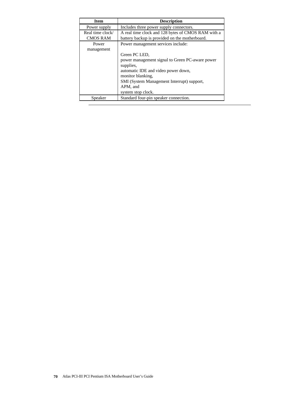| <b>Item</b>      | <b>Description</b>                                 |
|------------------|----------------------------------------------------|
| Power supply     | Includes three power supply connectors.            |
| Real time clock/ | A real time clock and 128 bytes of CMOS RAM with a |
| <b>CMOS RAM</b>  | battery backup is provided on the motherboard.     |
| Power            | Power management services include:                 |
| management       |                                                    |
|                  | Green PC LED,                                      |
|                  | power management signal to Green PC-aware power    |
|                  | supplies,                                          |
|                  | automatic IDE and video power down,                |
|                  | monitor blanking.                                  |
|                  | SMI (System Management Interrupt) support,         |
|                  | APM, and                                           |
|                  | system stop clock.                                 |
| Speaker          | Standard four-pin speaker connection.              |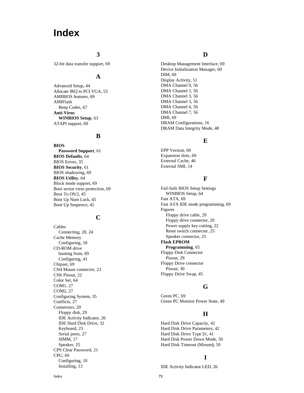# **Index**

#### **3**

32-bit data transfer support, 69

# **A**

Advanced Setup, 44 Allocate IRQ to PCI VGA, 53 AMIBIOS features, 69 AMIFlash Beep Codes, 67 **Anti-Virus WINBIOS Setup**, 63 ATAPI support, 69

# **B**

**BIOS Password Support**, 61 **BIOS Defaults**, 64 BIOS Errors, 35 **BIOS Security**, 61 BIOS shadowing, 69 **BIOS Utility**, 64 Block mode support, 69 Boot sector virus protection, 69 Boot To OS/2, 45 Boot Up Num Lock, 45 Boot Up Sequence, 45

#### **C**

Cables Connecting, 20, 24 Cache Memory Configuring, 18 CD-ROM drive booting from, 69 Configuring, 41 Chipset, 69 CN4 Mouse connector, 23 CN6 Pinout, 22 Color Set, 64 COM1, 27 COM2, 27 Configuring System, 35 Conflicts, 27 Connectors, 20 Floppy disk, 29 IDE Activity Indicator, 26 IDE Hard Disk Drive, 32 Keyboard, 23 Serial ports, 27 SIMM, 17 Speaker, 25 CPS Clear Password, 21 CPU, 69 Configuring, 10 Installing, 13

# **D**

Desktop Management Interface, 69 Device Initialization Manager, 69 DIM, 69 Display Activity, 51 DMA Channel 0, 56 DMA Channel 1, 56 DMA Channel 3, 56 DMA Channel 5, 56 DMA Channel 6, 56 DMA Channel 7, 56 DMI, 69 DRAM Configurations, 16 DRAM Data Integrity Mode, 48

#### **E**

EPP Version, 60 Expansion slots, 69 External Cache, 46 External SMI, 14

#### **F**

Fail-Safe BIOS Setup Settings WINBIOS Setup, 64 Fast ATA, 69 Fast ATA IDE mode programming, 69 Figures Floppy drive cable, 29 Floppy drive connector, 29 Power supply key cutting, 22 Reset switch connector, 25 Speaker connector, 25 **Flash EPROM Programming**, 65 Floppy Disk Connector Pinout, 29 Floppy Drive connector Pinout, 30 Floppy Drive Swap, 45

# **G**

Green PC, 69 Green PC Monitor Power State, 49

# **H**

Hard Disk Drive Capacity, 42 Hard Disk Drive Parameters, 42 Hard Disk Drive Type D:, 41 Hard Disk Power Down Mode, 50 Hard Disk Timeout (Minute **)**, 50

# **I**

IDE Activity Indicator LED, 26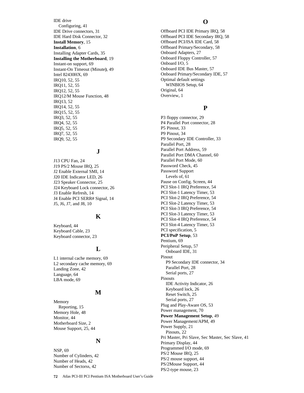IDE drive Configuring, 41 IDE Drive connectors, 31 IDE Hard Disk Connector, 32 **Install Memory**, 15 **Installation**, 6 Installing Adapter Cards, 35 **Installing the Motherboard**, 19 Instant-on support, 69 Instant-On Timeout (Minute**)**, 49 Intel 82430HX, 69 IRQ10, 52, 55 IRQ11, 52, 55 IRQ12, 52, 55 IRQ12/M Mouse Function, 48 IRQ13, 52 IRQ14, 52, 55 IRQ15, 52, 55 IRQ3, 52, 55 IRQ4, 52, 55 IRQ5, 52, 55 IRQ7, 52, 55 IRQ9, 52, 55

# **J**

J13 CPU Fan, 24 J19 PS/2 Mouse IRQ, 25 J2 Enable External SMI, 14 J20 IDE Indicator LED, 26 J23 Speaker Connector, 25 J24 Keyboard Lock connector, 26 J3 Enable Refresh, 14 J4 Enable PCI SERR# Signal, 14 J5, J6, J7, and J8, 10

#### **K**

Keyboard, 44 Keyboard Cable, 23 Keyboard connector, 23

# **L**

L1 internal cache memory, 69 L2 secondary cache memory, 69 Landing Zone, 42 Language, 64 LBA mode, 69

#### **M**

Memory Reporting, 15 Memory Hole, 48 Monitor, 44 Motherboard Size, 2 Mouse Support, 25, 44

#### **N**

NSP, 69 Number of Cylinders, 42 Number of Heads, 42 Number of Sectorss, 42

#### **O**

Offboard PCI IDE Primary IRQ, 58 Offboard PCI IDE Secondary IRQ, 58 Offboard PCI/ISA IDE Card, 58 Offboard Primary/Secondary, 58 Onboard Adapters, 27 Onboard Floppy Controller, 57 Onboard I/O, 5 Onboard IDE Bus Master, 57 Onboard Primary/Secondary IDE, 57 Optimal default settings WINBIOS Setup, 64 Original, 64 Overview, 1

#### **P**

P3 floppy connector, 29 P4 Parallel Port connector, 28 P5 Pinout, 33 P9 Pinout, 34 P9 Secondary IDE Controller, 33 Parallel Port, 28 Parallel Port Address, 59 Parallel Port DMA Channel, 60 Parallel Port Mode, 60 Password Check, 45 Password Support Levels of, 61 Pause on Config. Screen, 44 PCI Slot-1 IRQ Preference, 54 PCI Slot-1 Latency Timer, 53 PCI Slot-2 IRQ Preference, 54 PCI Slot-2 Latency Timer, 53 PCI Slot-3 IRQ Preference, 54 PCI Slot-3 Latency Timer, 53 PCI Slot-4 IRQ Preference, 54 PCI Slot-4 Latency Timer, 53 PCI specification, 5 **PCI/PnP Setup**, 53 Pentium, 69 Peripheral Setup, 57 Onboard IDE, 31 Pinout P9 Secondary IDE connector, 34 Parallel Port, 28 Serial ports, 27 Pinouts IDE Activity Indicator, 26 Keyboard lock, 26 Reset Switch, 25 Serial ports, 27 Plug and Play-Aware OS, 53 Power management, 70 **Power Management Setup**, 49 Power Management/APM, 49 Power Supply, 21 Pinouts, 22 Pri Master, Pri Slave, Sec Master, Sec Slave, 41 Primary Display, 44 Programmed I/O mode, 69 PS/2 Mouse IRQ, 25 PS/2 mouse support, 44 PS/2Mouse Support, 44 PS/2-type mouse, 23